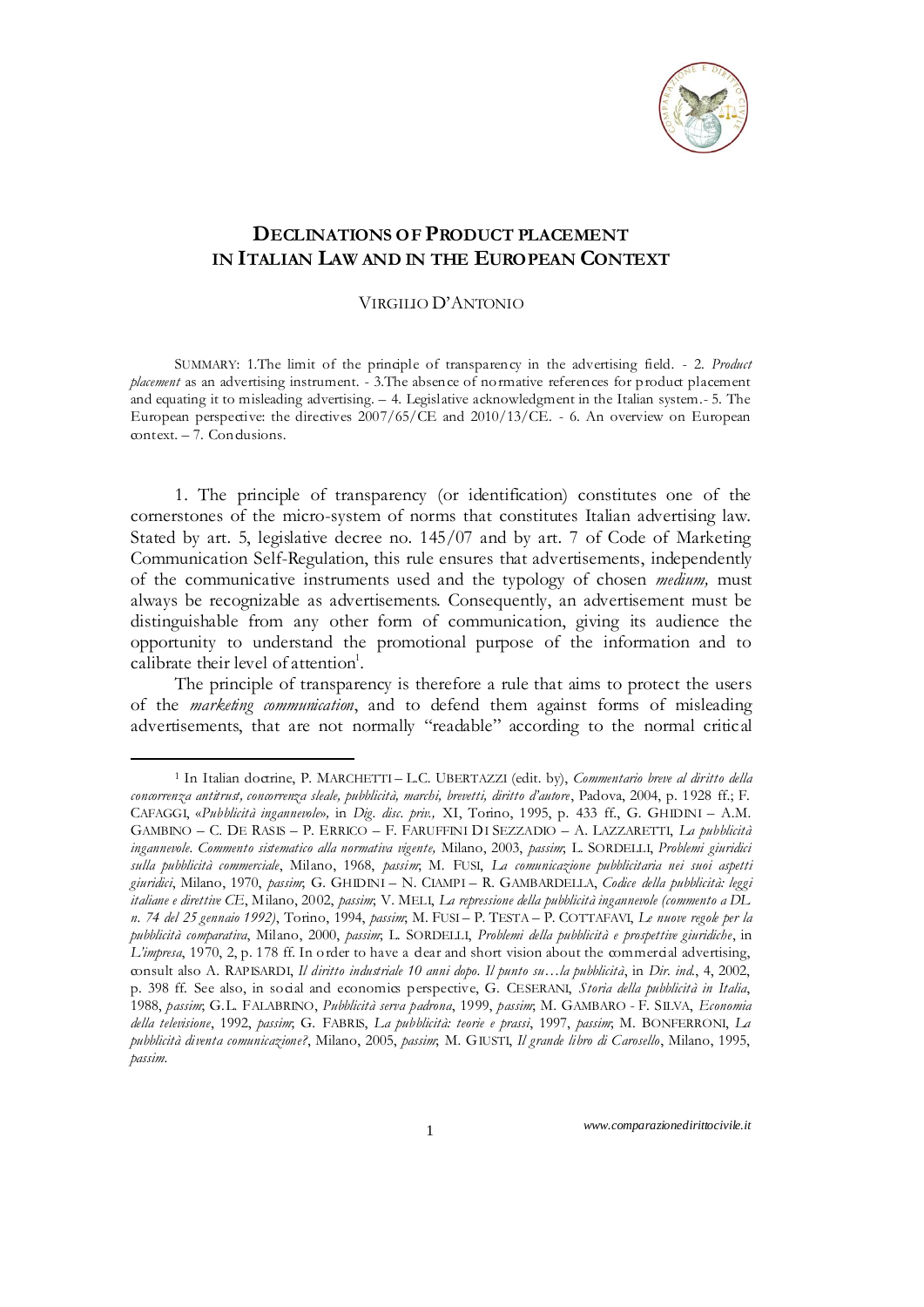

## **DECLINATIONS OF PRODUCT PLACEMENT IN ITALIAN LAW AND IN THE EUROPEAN CONTEXT**

## VIRGILIO D'ANTONIO

SUMMARY: 1. The limit of the principle of transparency in the advertising field. - 2. *Product placement* as an advertising instrument. - 3. The absence of normative references for product placement and equating it to misleading advertising. – 4. Legislative acknowledgment in the Italian system.- 5. The European perspective: the directives  $2007/65/\overline{CE}$  and  $2010/13/\overline{CE}$ . - 6. An overview on European  $\arctan 7$ . Condusions.

1. The principle of transparency (or identification) constitutes one of the cornerstones of the micro-system of norms that constitutes Italian advertising law. Stated by art. 5, legislative decree no. 145/07 and by art. 7 of Code of Marketing Communication Self-Regulation, this rule ensures that advertisements, independently of the communicative instruments used and the typology of chosen *medium,* must always be recognizable as advertisements. Consequently, an advertisement must be distinguishable from any other form of communication, giving its audience the opportunity to understand the promotional purpose of the information and to calibrate their level of attention<sup>1</sup>.

The principle of transparency is therefore a rule that aims to protect the users of the *marketing communication*, and to defend them against forms of misleading advertisements, that are not normally "readable" according to the normal critical

<sup>1</sup> In Italian doctrine, P. MARCHETTI – L.C. UBERTAZZI (edit. by), *Commentario breve al diritto della concorrenza antitrust, concorrenza sleale, pubblicità, marchi, brevetti, diritto d'autore*, Padova, 2004, p. 1928 ff.; F. CAFAGGI, «*Pubblicità ingannevole*»*,* in *Dig. disc. priv.,* XI, Torino, 1995, p. 433 ff., G. GHIDINI – A.M. GAMBINO – C. DE RASIS – P. ERRICO – F. FARUFFINI DI SEZZADIO – A. LAZZARETTI, *La pubblicità ingannevole. Commento sistematico alla normativa vigente,* Milano, 2003, *passim*; L. SORDELLI, *Problemi giuridici sulla pubblicità commerciale*, Milano, 1968, *passim*; M. FUSI, *La comunicazione pubblicitaria nei suoi aspetti giuridici*, Milano, 1970, *passim*; G. GHIDINI – N. CIAMPI – R. GAMBARDELLA, *Codice della pubblicità: leggi italiane e direttive CE*, Milano, 2002, *passim*; V. MELI, *La repressione della pubblicità ingannevole (commento a DL n. 74 del 25 gennaio 1992)*, Torino, 1994, *passim*; M. FUSI – P. TESTA – P. COTTAFAVI, *Le nuove regole per la pubblicità comparativa*, Milano, 2000, *passim*; L. SORDELLI, *Problemi della pubblicità e prospettive giuridiche*, in *L'impresa*, 1970, 2, p. 178 ff. In order to have a dear and short vision about the commercial advertising, consult also A. RAPISARDI, *Il diritto industriale 10 anni dopo. Il punto su…la pubblicità*, in *Dir. ind.*, 4, 2002, p. 398 ff. See also, in social and economics perspective, G. CESERANI, *Storia della pubblicità in Italia*, 1988, *passim*; G.L. FALABRINO, *Pubblicità serva padrona*, 1999, *passim*; M. GAMBARO - F. SILVA, *Economia della televisione*, 1992, *passim*; G. FABRIS, *La pubblicità: teorie e prassi*, 1997, *passim*; M. BONFERRONI, *La pubblicità diventa comunicazione?*, Milano, 2005, *passim*; M. GIUSTI, *Il grande libro di Carosello*, Milano, 1995, *passim*.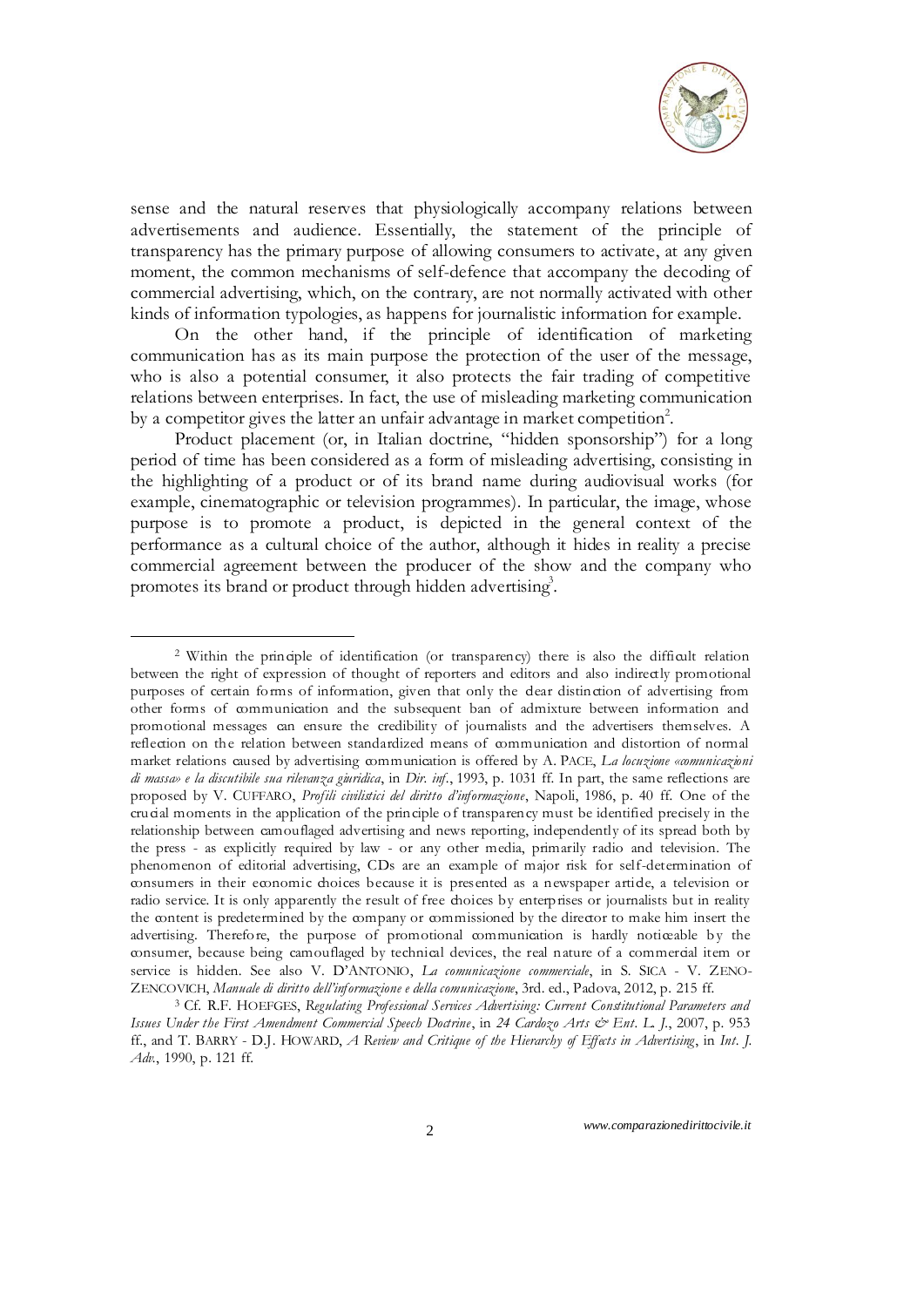

sense and the natural reserves that physiologically accompany relations between advertisements and audience. Essentially, the statement of the principle of transparency has the primary purpose of allowing consumers to activate, at any given moment, the common mechanisms of self-defence that accompany the decoding of commercial advertising, which, on the contrary, are not normally activated with other kinds of information typologies, as happens for journalistic information for example.

On the other hand, if the principle of identification of marketing communication has as its main purpose the protection of the user of the message, who is also a potential consumer, it also protects the fair trading of competitive relations between enterprises. In fact, the use of misleading marketing communication by a competitor gives the latter an unfair advantage in market competition<sup>2</sup>.

Product placement (or, in Italian doctrine, "hidden sponsorship") for a long period of time has been considered as a form of misleading advertising, consisting in the highlighting of a product or of its brand name during audiovisual works (for example, cinematographic or television programmes). In particular, the image, whose purpose is to promote a product, is depicted in the general context of the performance as a cultural choice of the author, although it hides in reality a precise commercial agreement between the producer of the show and the company who promotes its brand or product through hidden advertising<sup>3</sup>.

<sup>2</sup> Within the principle of identification (or transparency) there is also the difficult relation between the right of expression of thought of reporters and editors and also indirectly promotional purposes of certain forms of information, given that only the clear distinction of advertising from other forms of communication and the subsequent ban of admixture between information and promotional messages can ensure the credibility of journalists and the advertisers themselves. A reflection on the relation between standardized means of communication and distortion of normal market relations caused by advertising communication is offered by A. PACE, *La locuzione «comunicazioni di massa» e la discutibile sua rilevanza giuridica*, in *Dir. inf.*, 1993, p. 1031 ff. In part, the same reflections are proposed by V. CUFFARO, *Profili civilistici del diritto d'informazione*, Napoli, 1986, p. 40 ff. One of the crucial moments in the application of the principle of transparency must be identified precisely in the relationship between camouflaged advertising and news reporting, independently of its spread both by the press - as explicitly required by law - or any other media, primarily radio and television. The phenomenon of editorial advertising, CDs are an example of major risk for self-determination of consumers in their economic choices because it is presented as a newspaper article, a television or radio service. It is only apparently the result of free choices by enterprises or journalists but in reality the content is predetermined by the company or commissioned by the director to make him insert the advertising. Therefore, the purpose of promotional communication is hardly noticeable by the consumer, because being camouflaged by technical devices, the real nature of a commercial item or service is hidden. See also V. D'ANTONIO, *La comunicazione commerciale*, in S. SICA - V. ZENO-ZENCOVICH, *Manuale di diritto dell'informazione e della comunicazione*, 3rd. ed., Padova, 2012, p. 215 ff.

<sup>3</sup> Cf. R.F. HOEFGES, *Regulating Professional Services Advertising: Current Constitutional Parameters and Issues Under the First Amendment Commercial Speech Doctrine*, in *24 Cardozo Arts & Ent. L. J.*, 2007, p. 953 ff., and T. BARRY - D.J. HOWARD, *A Review and Critique of the Hierarchy of Effects in Advertising*, in *Int. J. Adv.*, 1990, p. 121 ff.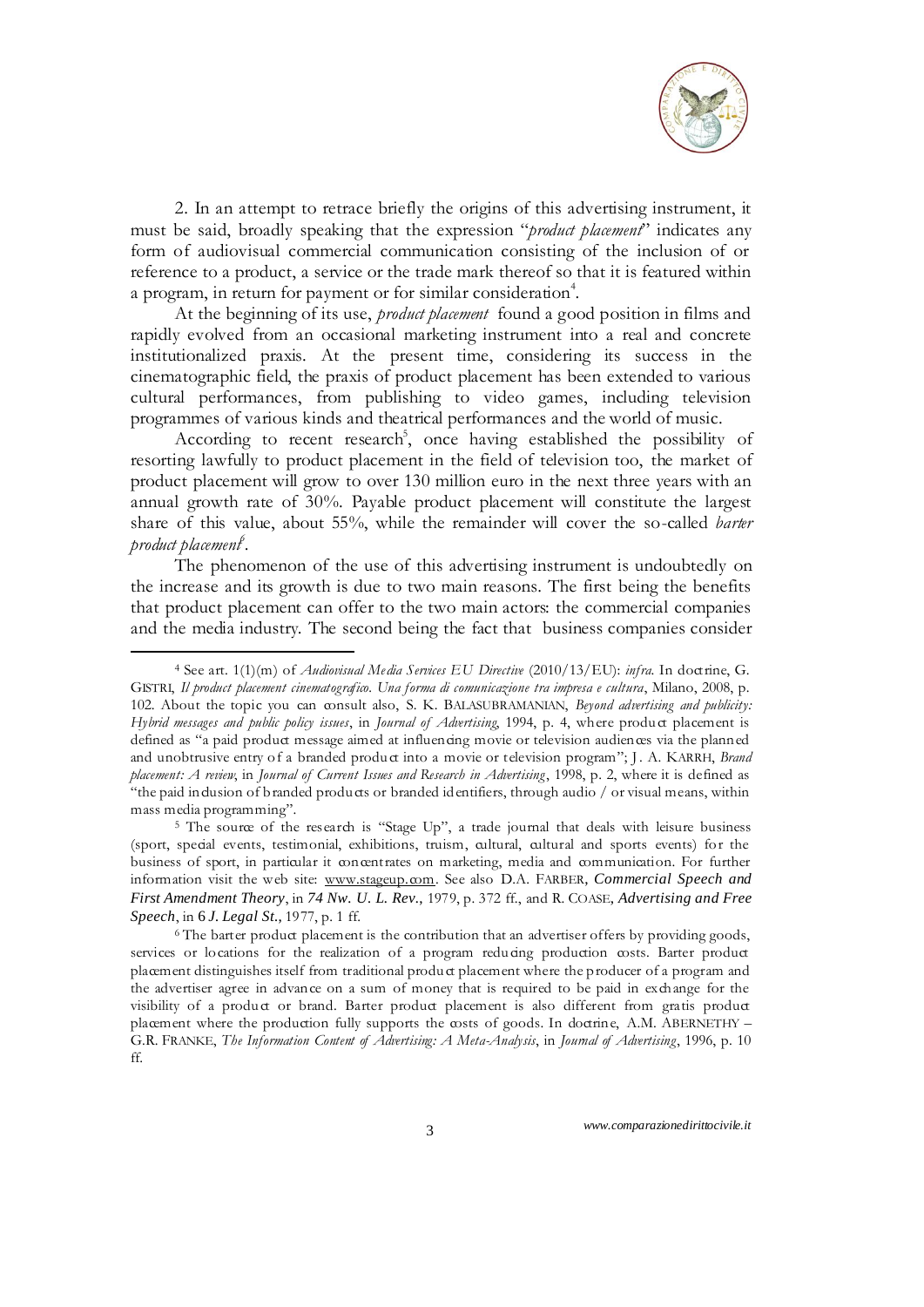

2. In an attempt to retrace briefly the origins of this advertising instrument, it must be said, broadly speaking that the expression "*product placement*" indicates any form of audiovisual commercial communication consisting of the inclusion of or reference to a product, a service or the trade mark thereof so that it is featured within a program, in return for payment or for similar consideration<sup>4</sup>.

At the beginning of its use, *product placement* found a good position in films and rapidly evolved from an occasional marketing instrument into a real and concrete institutionalized praxis. At the present time, considering its success in the cinematographic field, the praxis of product placement has been extended to various cultural performances, from publishing to video games, including television programmes of various kinds and theatrical performances and the world of music.

According to recent research<sup>5</sup>, once having established the possibility of resorting lawfully to product placement in the field of television too, the market of product placement will grow to over 130 million euro in the next three years with an annual growth rate of 30%. Payable product placement will constitute the largest share of this value, about 55%, while the remainder will cover the so-called *barter product placement<sup>6</sup>* .

The phenomenon of the use of this advertising instrument is undoubtedly on the increase and its growth is due to two main reasons. The first being the benefits that product placement can offer to the two main actors: the commercial companies and the media industry. The second being the fact that business companies consider

 $\overline{a}$ 

<sup>4</sup> See art. 1(1)(m) of *Audiovisual Media Services EU Directive* (2010/13/EU): *infra*. In doctrine, G. GISTRI, *Il product placement cinematografico. Una forma di comunicazione tra impresa e cultura*, Milano, 2008, p. 102. About the topic you can consult also, S. K. BALASUBRAMANIAN, *Beyond advertising and publicity: Hybrid messages and public policy issues*, in *Journal of Advertising*, 1994, p. 4, where product placement is defined as "a paid product message aimed at influencing movie or television audiences via the planned and unobtrusive entry of a branded product into a movie or television program"; J. A. KARRH, *Brand placement: A review*, in *Journal of Current Issues and Research in Advertising*, 1998, p. 2, where it is defined as "the paid indusion of branded products or branded identifiers, through audio / or visual means, within mass media programming".

<sup>&</sup>lt;sup>5</sup> The source of the research is "Stage Up", a trade journal that deals with leisure business (sport, special events, testimonial, exhibitions, truism, cultural, cultural and sports events) for the business of sport, in particular it concentrates on marketing, media and communication. For further information visit the web site: [www.stageup.com.](http://www.stageup.com/) See also D.A. FARBER, *Commercial Speech and First Amendment Theory*, in *74 Nw. U. L. Rev.*, 1979, p. 372 ff., and R. COASE, *Advertising and Free Speech*, in 6 *J. Legal St.*, 1977, p. 1 ff.

<sup>&</sup>lt;sup>6</sup> The barter product placement is the contribution that an advertiser offers by providing goods, services or locations for the realization of a program reducing production costs. Barter product placement distinguishes itself from traditional product placement where the producer of a program and the advertiser agree in advance on a sum of money that is required to be paid in exchange for the visibility of a product or brand. Barter product placement is also different from gratis product placement where the production fully supports the costs of goods. In doctrine, A.M. ABERNETHY – G.R. FRANKE, *The Information Content of Advertising: A Meta-Analysis*, in *Journal of Advertising*, 1996, p. 10 ff.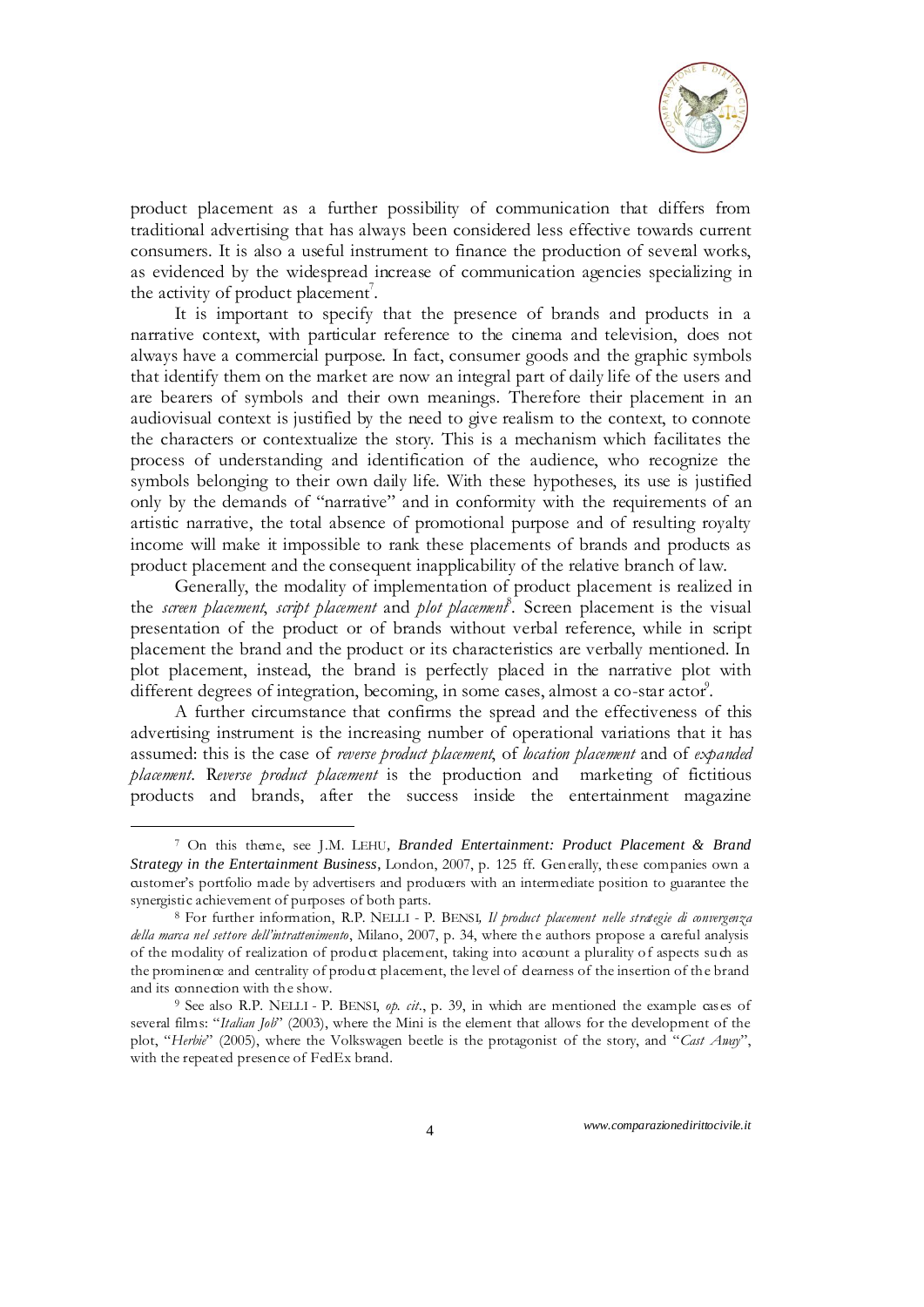

product placement as a further possibility of communication that differs from traditional advertising that has always been considered less effective towards current consumers. It is also a useful instrument to finance the production of several works, as evidenced by the widespread increase of communication agencies specializing in the activity of product placement<sup>7</sup>.

It is important to specify that the presence of brands and products in a narrative context, with particular reference to the cinema and television, does not always have a commercial purpose. In fact, consumer goods and the graphic symbols that identify them on the market are now an integral part of daily life of the users and are bearers of symbols and their own meanings. Therefore their placement in an audiovisual context is justified by the need to give realism to the context, to connote the characters or contextualize the story. This is a mechanism which facilitates the process of understanding and identification of the audience, who recognize the symbols belonging to their own daily life. With these hypotheses, its use is justified only by the demands of "narrative" and in conformity with the requirements of an artistic narrative, the total absence of promotional purpose and of resulting royalty income will make it impossible to rank these placements of brands and products as product placement and the consequent inapplicability of the relative branch of law.

Generally, the modality of implementation of product placement is realized in the *screen placement, script placement* and *plot placement*<sup>8</sup>. Screen placement is the visual presentation of the product or of brands without verbal reference, while in script placement the brand and the product or its characteristics are verbally mentioned. In plot placement, instead, the brand is perfectly placed in the narrative plot with different degrees of integration, becoming, in some cases, almost a co-star actor.

A further circumstance that confirms the spread and the effectiveness of this advertising instrument is the increasing number of operational variations that it has assumed: this is the case of *reverse product placement*, of *location placement* and of *expanded placement*. R*everse product placement* is the production and marketing of fictitious products and brands, after the success inside the entertainment magazine

<sup>7</sup> On this theme, see J.M. LEHU, *Branded Entertainment: Product Placement & Brand Strategy in the Entertainment Business*, London, 2007, p. 125 ff. Generally, these companies own a customer's portfolio made by advertisers and producers with an intermediate position to guarantee the synergistic achievement of purposes of both parts.

<sup>8</sup> For further information, R.P. NELLI - P. BENSI*, Il product placement nelle strategie di convergenza della marca nel settore dell'intrattenimento*, Milano, 2007, p. 34, where the authors propose a careful analysis of the modality of realization of product placement, taking into account a plurality of aspects such as the prominence and centrality of product placement, the level of dearness of the insertion of the brand and its connection with the show.

<sup>9</sup> See also R.P. NELLI - P. BENSI, *op. cit.*, p. 39, in which are mentioned the example cases of several films: "*Italian Job*" (2003), where the Mini is the element that allows for the development of the plot, "*Herbie*" (2005), where the Volkswagen beetle is the protagonist of the story, and "*Cast Away*", with the repeated presence of FedEx brand.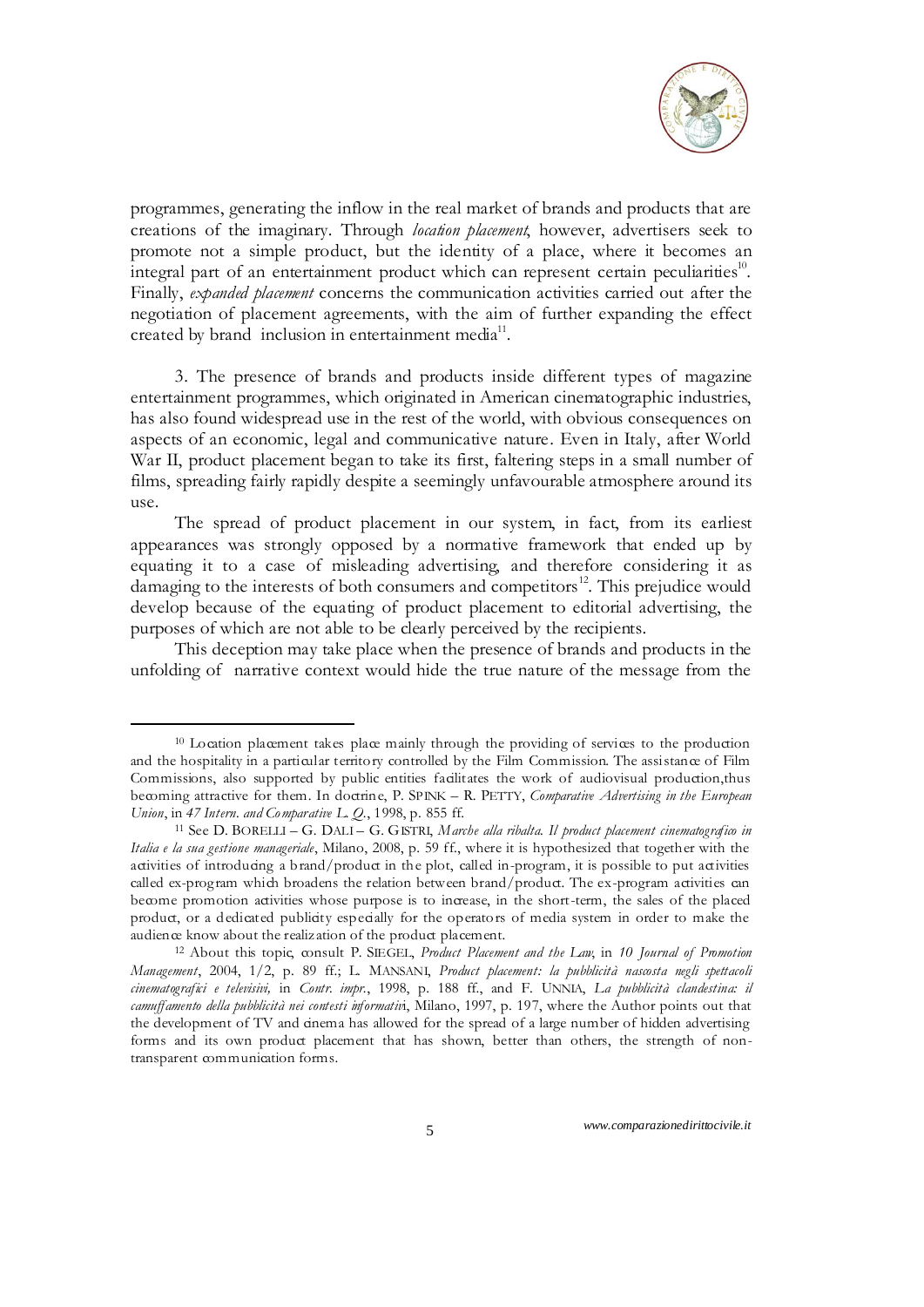

programmes, generating the inflow in the real market of brands and products that are creations of the imaginary. Through *location placement*, however, advertisers seek to promote not a simple product, but the identity of a place, where it becomes an integral part of an entertainment product which can represent certain peculiarities $^{\rm 10}$ . Finally, *expanded placement* concerns the communication activities carried out after the negotiation of placement agreements, with the aim of further expanding the effect created by brand inclusion in entertainment media $^{11}$ .

3. The presence of brands and products inside different types of magazine entertainment programmes, which originated in American cinematographic industries, has also found widespread use in the rest of the world, with obvious consequences on aspects of an economic, legal and communicative nature. Even in Italy, after World War II, product placement began to take its first, faltering steps in a small number of films, spreading fairly rapidly despite a seemingly unfavourable atmosphere around its use.

The spread of product placement in our system, in fact, from its earliest appearances was strongly opposed by a normative framework that ended up by equating it to a case of misleading advertising, and therefore considering it as damaging to the interests of both consumers and competitors<sup>12</sup>. This prejudice would develop because of the equating of product placement to editorial advertising, the purposes of which are not able to be clearly perceived by the recipients.

This deception may take place when the presence of brands and products in the unfolding of narrative context would hide the true nature of the message from the

<sup>&</sup>lt;sup>10</sup> Location placement takes place mainly through the providing of services to the production and the hospitality in a particular territory controlled by the Film Commission. The assistance of Film Commissions, also supported by public entities facilitates the work of audiovisual production,thus becoming attractive for them. In doctrine, P. SPINK – R. PETTY, *Comparative Advertising in the European Union*, in *47 Intern. and Comparative L. Q.*, 1998, p. 855 ff.

<sup>11</sup> See D. BORELLI – G. DALI – G. GISTRI, *Marche alla ribalta. Il product placement cinematografico in Italia e la sua gestione manageriale*, Milano, 2008, p. 59 ff., where it is hypothesized that together with the activities of introducing a brand/product in the plot, called in-program, it is possible to put activities called ex-program which broadens the relation between brand/product. The ex-program activities can become promotion activities whose purpose is to increase, in the short-term, the sales of the placed product, or a dedicated publicity especially for the operators of media system in order to make the audience know about the realization of the product placement.

<sup>12</sup> About this topic, consult P. SIEGEL, *Product Placement and the Law*, in *10 Journal of Promotion Management*, 2004, 1/2, p. 89 ff.; L. MANSANI, *Product placement: la pubblicità nascosta negli spettacoli cinematografici e televisivi,* in *Contr. impr.*, 1998, p. 188 ff., and F. UNNIA, *La pubblicità clandestina: il camuffamento della pubblicità nei contesti informativ*i, Milano, 1997, p. 197, where the Author points out that the development of TV and cinema has allowed for the spread of a large number of hidden advertising forms and its own product placement that has shown, better than others, the strength of nontransparent communication forms.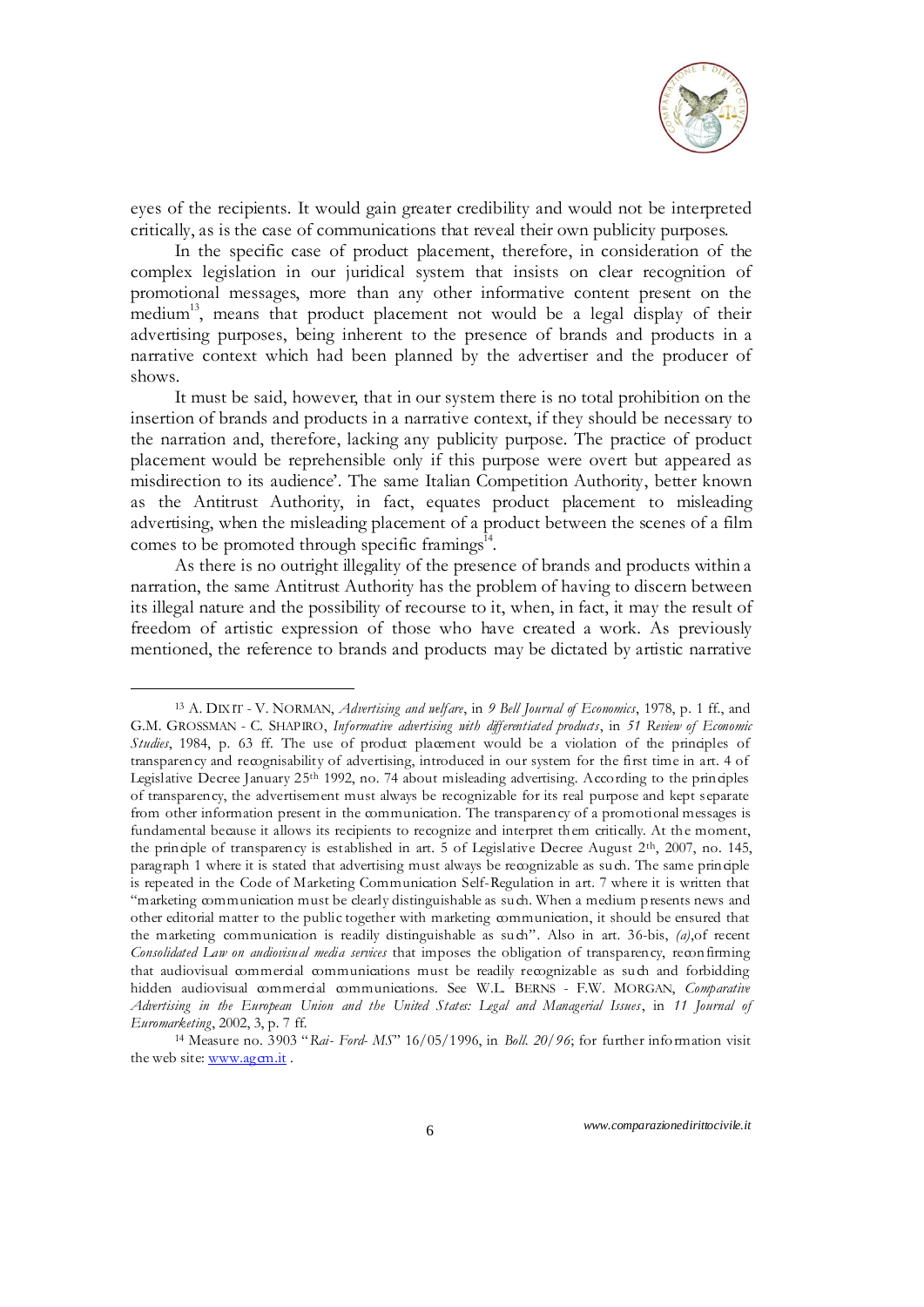

eyes of the recipients. It would gain greater credibility and would not be interpreted critically, as is the case of communications that reveal their own publicity purposes.

In the specific case of product placement, therefore, in consideration of the complex legislation in our juridical system that insists on clear recognition of promotional messages, more than any other informative content present on the medium<sup>13</sup>, means that product placement not would be a legal display of their advertising purposes, being inherent to the presence of brands and products in a narrative context which had been planned by the advertiser and the producer of shows.

It must be said, however, that in our system there is no total prohibition on the insertion of brands and products in a narrative context, if they should be necessary to the narration and, therefore, lacking any publicity purpose. The practice of product placement would be reprehensible only if this purpose were overt but appeared as misdirection to its audience'. The same Italian Competition Authority, better known as the Antitrust Authority, in fact, equates product placement to misleading advertising, when the misleading placement of a product between the scenes of a film comes to be promoted through specific framings<sup>14</sup>.

As there is no outright illegality of the presence of brands and products within a narration, the same Antitrust Authority has the problem of having to discern between its illegal nature and the possibility of recourse to it, when, in fact, it may the result of freedom of artistic expression of those who have created a work. As previously mentioned, the reference to brands and products may be dictated by artistic narrative

 $\overline{a}$ 

<sup>13</sup> A. DIXIT - V. NORMAN, *Advertising and welfare*, in *9 Bell Journal of Economics*, 1978, p. 1 ff., and G.M. GROSSMAN - C. SHAPIRO, *Informative advertising with differentiated products*, in *51 Review of Economic Studies*, 1984, p. 63 ff. The use of product placement would be a violation of the principles of transparency and recognisability of advertising, introduced in our system for the first time in art. 4 of Legislative Decree January 25th 1992, no. 74 about misleading advertising. According to the principles of transparency, the advertisement must always be recognizable for its real purpose and kept separate from other information present in the communication. The transparency of a promotional messages is fundamental because it allows its recipients to recognize and interpret them critically. At the moment, the principle of transparency is established in art. 5 of Legislative Decree August 2th, 2007, no. 145, paragraph 1 where it is stated that advertising must always be recognizable as such. The same principle is repeated in the Code of Marketing Communication Self-Regulation in art. 7 where it is written that "marketing communication must be clearly distinguishable as such. When a medium presents news and other editorial matter to the public together with marketing communication, it should be ensured that the marketing communication is readily distinguishable as such". Also in art. 36-bis, *(a)*,of recent *Consolidated Law on audiovisual media services* that imposes the obligation of transparency, reconfirming that audiovisual commercial communications must be readily recognizable as such and forbidding hidden audiovisual commercial communications. See W.L. BERNS - F.W. MORGAN, *Comparative Advertising in the European Union and the United States: Legal and Managerial Issues*, in *11 Journal of Euromarketing*, 2002, 3, p. 7 ff.

<sup>14</sup> Measure no. 3903 "*Rai- Ford- MS*" 16/05/1996, in *Boll. 20/96*; for further information visit the web site: [www.agcm.it](http://www.agcm.it/).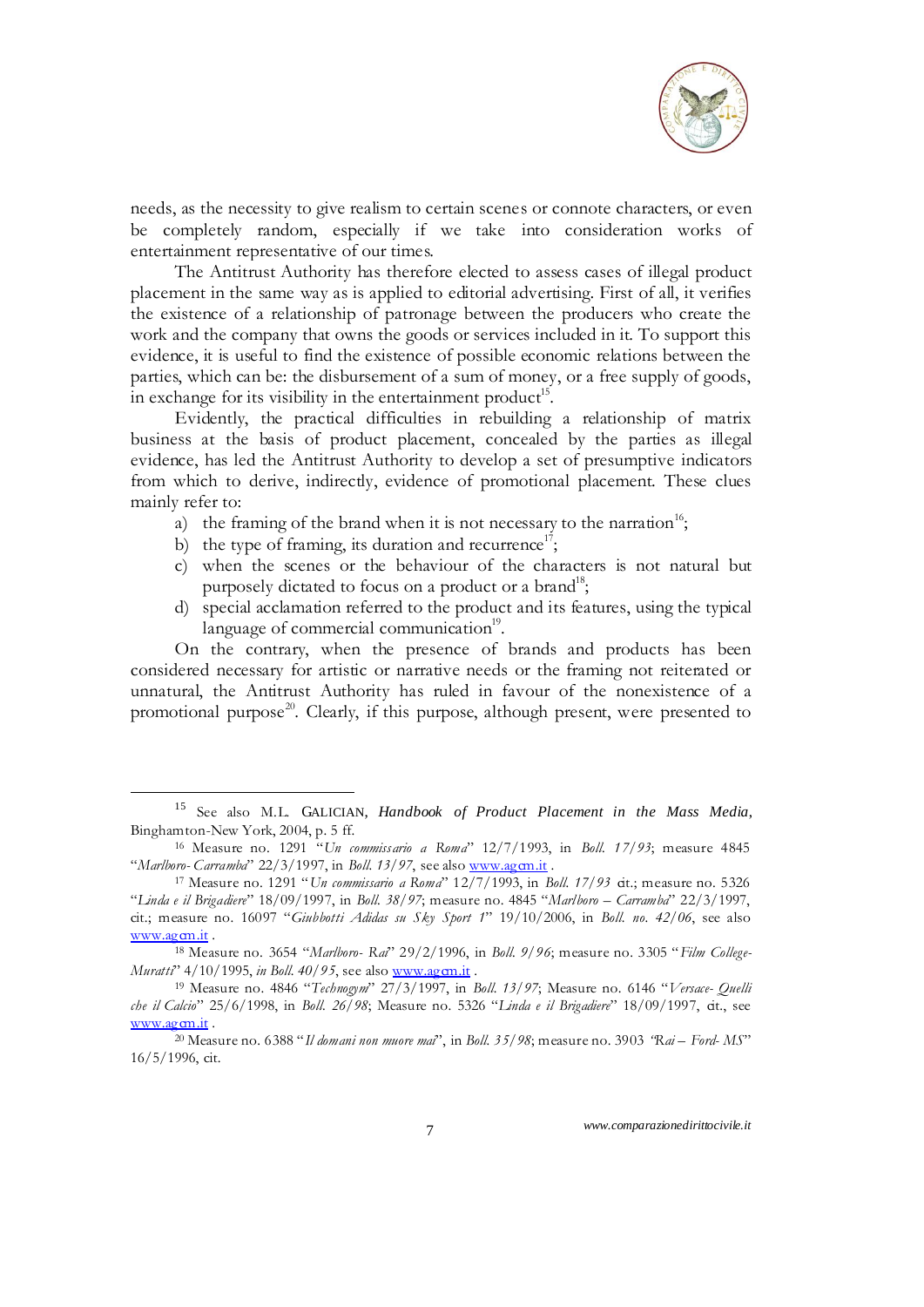

needs, as the necessity to give realism to certain scenes or connote characters, or even be completely random, especially if we take into consideration works of entertainment representative of our times.

The Antitrust Authority has therefore elected to assess cases of illegal product placement in the same way as is applied to editorial advertising. First of all, it verifies the existence of a relationship of patronage between the producers who create the work and the company that owns the goods or services included in it. To support this evidence, it is useful to find the existence of possible economic relations between the parties, which can be: the disbursement of a sum of money, or a free supply of goods, in exchange for its visibility in the entertainment product<sup>15</sup>.

Evidently, the practical difficulties in rebuilding a relationship of matrix business at the basis of product placement, concealed by the parties as illegal evidence, has led the Antitrust Authority to develop a set of presumptive indicators from which to derive, indirectly, evidence of promotional placement. These clues mainly refer to:

- a) the framing of the brand when it is not necessary to the narration<sup>16</sup>;
- b) the type of framing, its duration and recurrence<sup>17</sup>;

 $\overline{a}$ 

- c) when the scenes or the behaviour of the characters is not natural but purposely dictated to focus on a product or a brand<sup>18</sup>;
- d) special acclamation referred to the product and its features, using the typical language of commercial communication<sup>19</sup>.

On the contrary, when the presence of brands and products has been considered necessary for artistic or narrative needs or the framing not reiterated or unnatural, the Antitrust Authority has ruled in favour of the nonexistence of a promotional purpose<sup>20</sup>. Clearly, if this purpose, although present, were presented to

<sup>15</sup> See also M.L. GALICIAN, *Handbook of Product Placement in the Mass Media*, Binghamton-New York, 2004, p. 5 ff.

<sup>16</sup> Measure no. 1291 "*Un commissario a Roma*" 12/7/1993, in *Boll. 17/93*; measure 4845 "*Marlboro- Carramba*" 22/3/1997, in *Boll. 13/97*, see also [www.agcm.it](http://www.agcm.it/).

<sup>17</sup> Measure no. 1291 "*Un commissario a Roma*" 12/7/1993, in *Boll. 17/93* cit.; measure no. 5326 "*Linda e il Brigadiere*" 18/09/1997, in *Boll. 38/97*; measure no. 4845 "*Marlboro – Carramba*" 22/3/1997, cit.; measure no. 16097 "*Giubbotti Adidas su Sky Sport 1*" 19/10/2006, in *Boll. no. 42/06*, see also [www.agcm.it](http://www.agcm.it/).

<sup>18</sup> Measure no. 3654 "*Marlboro- Rai*" 29/2/1996, in *Boll. 9/96*; measure no. 3305 "*Film College-Muratti*<sup>2</sup> 4/10/1995, *in Boll. 40/95*, see also [www.agcm.it](http://www.agcm.it/).

<sup>19</sup> Measure no. 4846 "*Technogym*" 27/3/1997, in *Boll. 13/97*; Measure no. 6146 "*Versace- Quelli che il Calcio*" 25/6/1998, in *Boll. 26/98*; Measure no. 5326 "*Linda e il Brigadiere*" 18/09/1997, cit., see [www.agcm.it](http://www.agcm.it/).

<sup>20</sup> Measure no. 6388 "*Il domani non muore mai*", in *Boll. 35/98*; measure no. 3903 *"Rai – Ford- MS*" 16/5/1996, cit.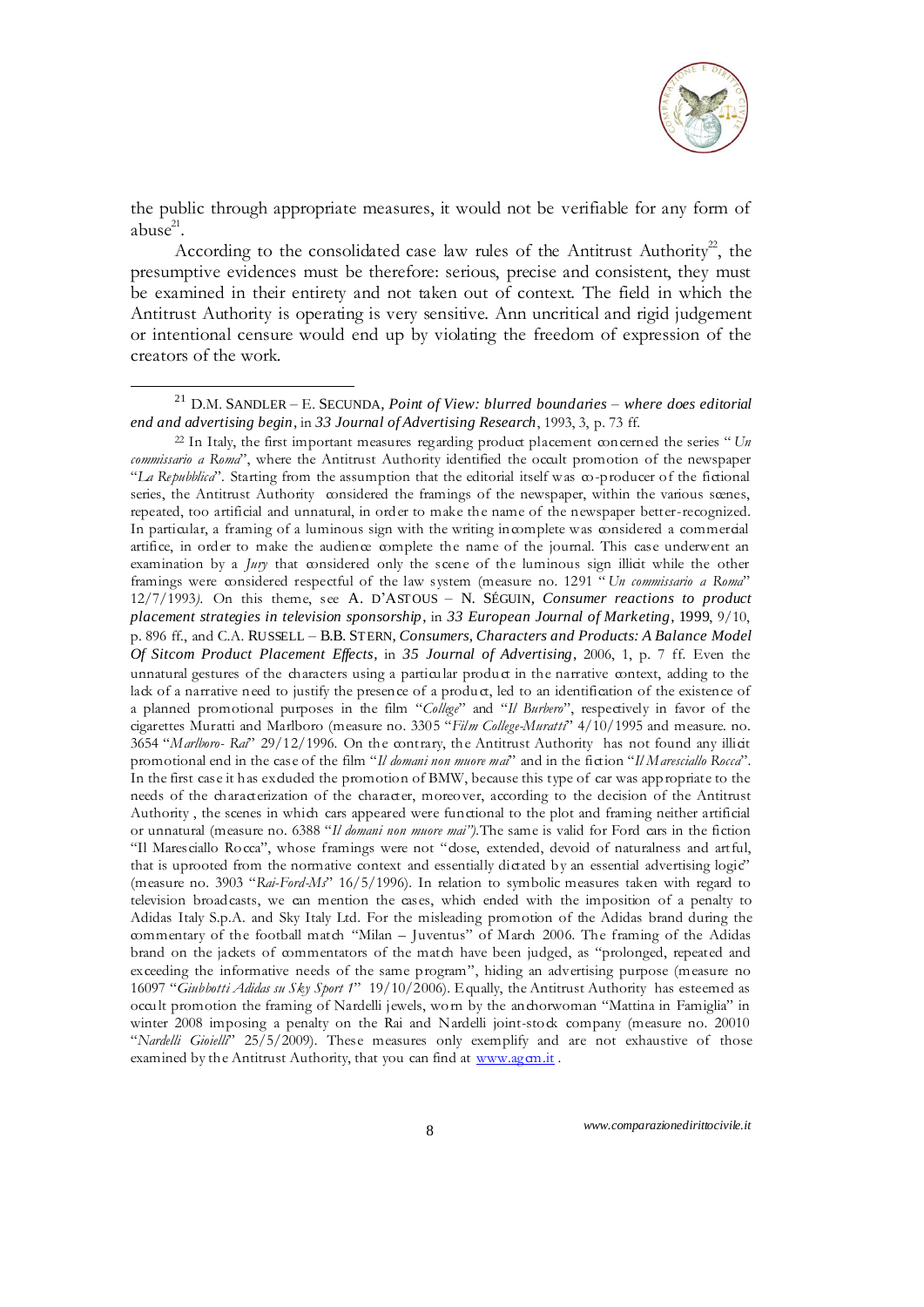

the public through appropriate measures, it would not be verifiable for any form of  $abuse^{21}$ .

According to the consolidated case law rules of the Antitrust Authority<sup>22</sup>, the presumptive evidences must be therefore: serious, precise and consistent, they must be examined in their entirety and not taken out of context. The field in which the Antitrust Authority is operating is very sensitive. Ann uncritical and rigid judgement or intentional censure would end up by violating the freedom of expression of the creators of the work.

 $\overline{a}$ 

<sup>21</sup> D.M. SANDLER – E. SECUNDA, *Point of View: blurred boundaries – where does editorial end and advertising begin*, in *33 Journal of Advertising Research*, 1993, 3, p. 73 ff.

<sup>22</sup> In Italy, the first important measures regarding product placement concerned the series " *Un commissario a Roma*", where the Antitrust Authority identified the occult promotion of the newspaper "*La Repubblica*". Starting from the assumption that the editorial itself was co-producer of the fictional series, the Antitrust Authority considered the framings of the newspaper, within the various scenes, repeated, too artificial and unnatural, in order to make the name of the newspaper better-recognized. In particular, a framing of a luminous sign with the writing incomplete was considered a commercial artifice, in order to make the audience complete the name of the journal. This case underwent an examination by a *Jury* that considered only the scene of the luminous sign illicit while the other framings were considered respectful of the law system (measure no. 1291 " *Un commissario a Roma*" 12/7/1993*).* On this theme, see A. D'ASTOUS – N. SÉGUIN, *Consumer reactions to product placement strategies in television sponsorship*, in *33 European Journal of Marketing*, 1999, 9/10, p. 896 ff., and C.A. RUSSELL – B.B. STERN, *Consumers, Characters and Products: A Balance Model Of Sitcom Product Placement Effects*, in *35 Journal of Advertising*, 2006, 1, p. 7 ff. Even the unnatural gestures of the characters using a particular product in the narrative context, adding to the lack of a narrative need to justify the presence of a product, led to an identification of the existence of a planned promotional purposes in the film "*College*" and "*Il Burbero*", respectively in favor of the cigarettes Muratti and Marlboro (measure no. 3305 "*Film College-Muratti*" 4/10/1995 and measure. no. 3654 "*Marlboro- Rai*" 29/12/1996. On the contrary, the Antitrust Authority has not found any illicit promotional end in the case of the film "*Il domani non muore mai*" and in the fiction "*Il Maresciallo Rocca*". In the first case it has exduded the promotion of BMW, because this type of car was appropriate to the needs of the characterization of the character, moreover, according to the decision of the Antitrust Authority , the scenes in which cars appeared were functional to the plot and framing neither artificial or unnatural (measure no. 6388 "*Il domani non muore mai").*The same is valid for Ford cars in the fiction "Il Maresciallo Rocca", whose framings were not "close, extended, devoid of naturalness and artful, that is uprooted from the normative context and essentially dictated by an essential advertising logic" (measure no. 3903 "*Rai-Ford-Ms*" 16/5/1996). In relation to symbolic measures taken with regard to television broadcasts, we can mention the cases, which ended with the imposition of a penalty to Adidas Italy S.p.A. and Sky Italy Ltd. For the misleading promotion of the Adidas brand during the commentary of the football match "Milan – Juventus" of March 2006. The framing of the Adidas brand on the jackets of commentators of the match have been judged, as "prolonged, repeated and exceeding the informative needs of the same program", hiding an advertising purpose (measure no 16097 "*Giubbotti Adidas su Sky Sport 1*" 19/10/2006). Equally, the Antitrust Authority has esteemed as occult promotion the framing of Nardelli jewels, worn by the anchorwoman "Mattina in Famiglia" in winter 2008 imposing a penalty on the Rai and Nardelli joint-stock company (measure no. 20010 "*Nardelli Gioielli*" 25/5/2009). These measures only exemplify and are not exhaustive of those examined by the Antitrust Authority, that you can find at [www.agcm.it](http://www.agcm.it/).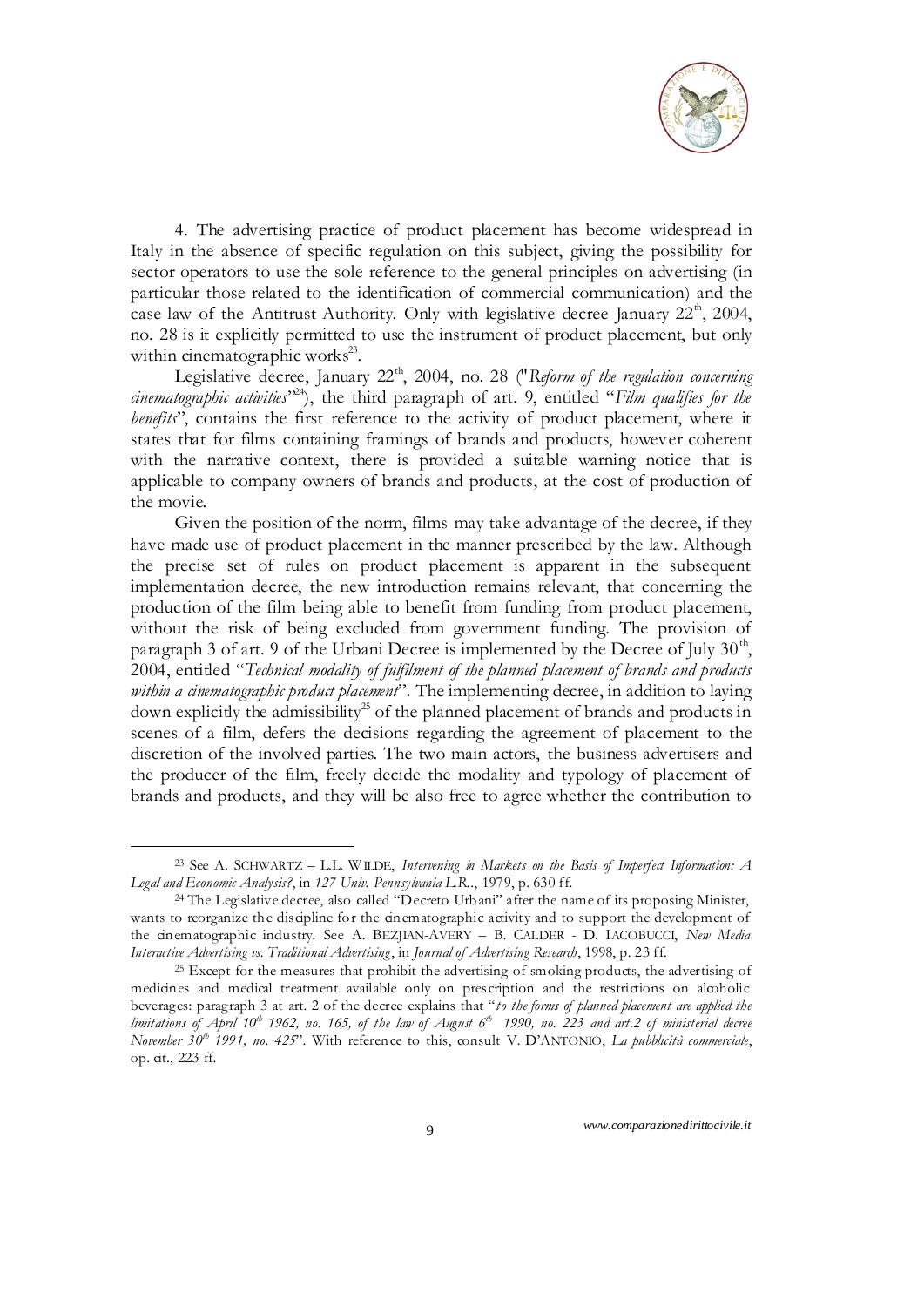

4. The advertising practice of product placement has become widespread in Italy in the absence of specific regulation on this subject, giving the possibility for sector operators to use the sole reference to the general principles on advertising (in particular those related to the identification of commercial communication) and the case law of the Antitrust Authority. Only with legislative decree January  $22<sup>th</sup>$ , 2004, no. 28 is it explicitly permitted to use the instrument of product placement, but only within cinematographic works<sup>23</sup>.

Legislative decree, January 22<sup>th</sup>, 2004, no. 28 ("*Reform of the regulation concerning cinematographic activities*" <sup>24</sup>), the third paragraph of art. 9, entitled "*Film qualifies for the benefits*", contains the first reference to the activity of product placement, where it states that for films containing framings of brands and products, however coherent with the narrative context, there is provided a suitable warning notice that is applicable to company owners of brands and products, at the cost of production of the movie.

Given the position of the norm, films may take advantage of the decree, if they have made use of product placement in the manner prescribed by the law. Although the precise set of rules on product placement is apparent in the subsequent implementation decree, the new introduction remains relevant, that concerning the production of the film being able to benefit from funding from product placement, without the risk of being excluded from government funding. The provision of paragraph 3 of art. 9 of the Urbani Decree is implemented by the Decree of July  $30<sup>th</sup>$ , 2004, entitled "*Technical modality of fulfilment of the planned placement of brands and products within a cinematographic product placement*". The implementing decree, in addition to laying down explicitly the admissibility<sup>25</sup> of the planned placement of brands and products in scenes of a film, defers the decisions regarding the agreement of placement to the discretion of the involved parties. The two main actors, the business advertisers and the producer of the film, freely decide the modality and typology of placement of brands and products, and they will be also free to agree whether the contribution to

<sup>23</sup> See A. SCHWARTZ – L.L. WILDE, *Intervening in Markets on the Basis of Imperfect Information: A Legal and Economic Analysis?*, in *127 Univ. Pennsylvania L.R.*., 1979, p. 630 ff.

<sup>24</sup> The Legislative decree, also called "Decreto Urbani" after the name of its proposing Minister, wants to reorganize the discipline for the cinematographic activity and to support the development of the cinematographic industry. See A. BEZJIAN-AVERY – B. CALDER - D. IACOBUCCI, *New Media Interactive Advertising vs. Traditional Advertising*, in *Journal of Advertising Research*, 1998, p. 23 ff.

<sup>&</sup>lt;sup>25</sup> Except for the measures that prohibit the advertising of smoking products, the advertising of medicines and medical treatment available only on prescription and the restrictions on alcoholic beverages: paragraph 3 at art. 2 of the decree explains that "*to the forms of planned placement are applied the limitations of April 10th 1962, no. 165, of the law of August 6th 1990, no. 223 and art.2 of ministerial decree November 30th 1991, no. 425*". With reference to this, consult V. D'ANTONIO, *La pubblicità commerciale*, op. cit., 223 ff.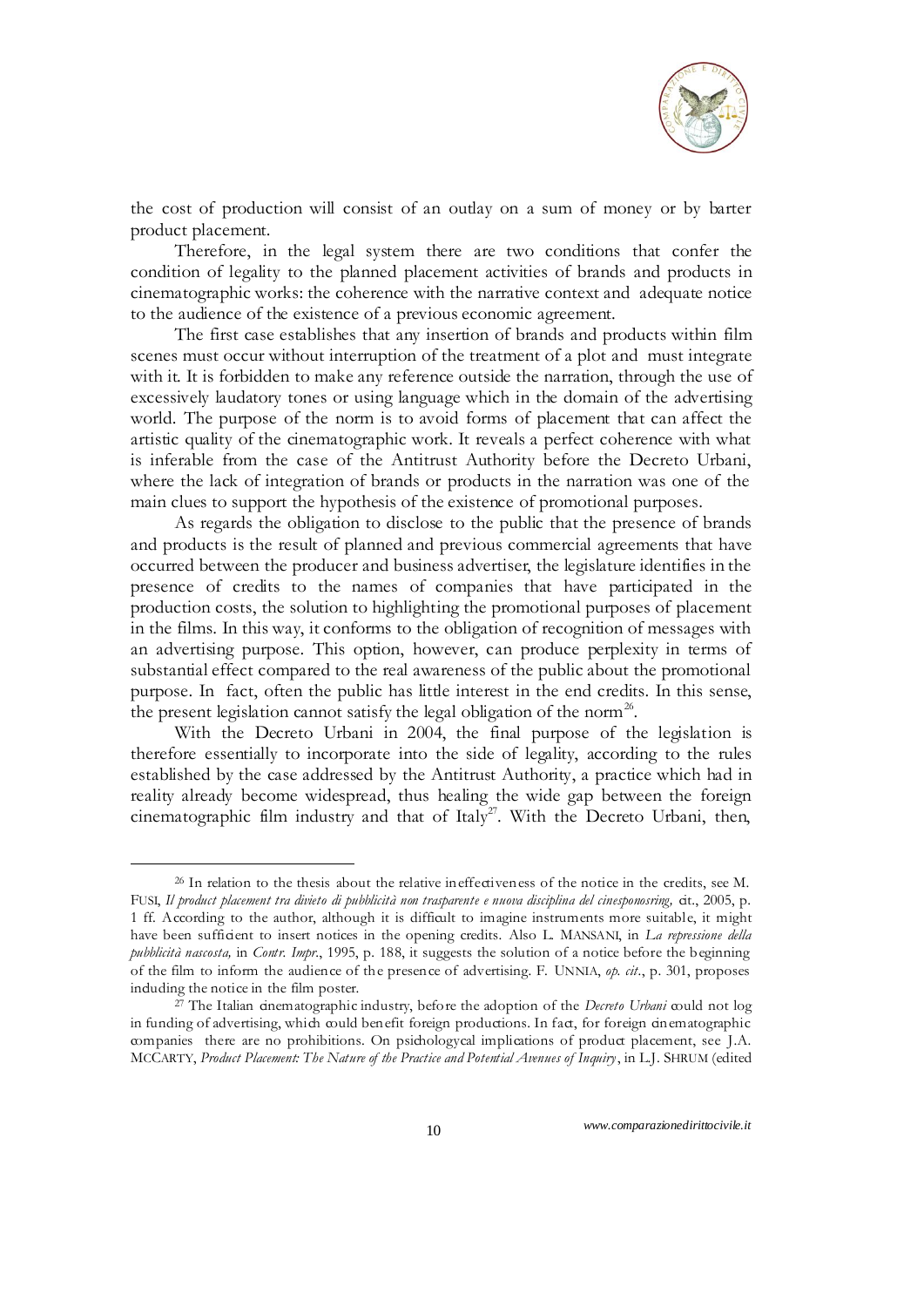

the cost of production will consist of an outlay on a sum of money or by barter product placement.

Therefore, in the legal system there are two conditions that confer the condition of legality to the planned placement activities of brands and products in cinematographic works: the coherence with the narrative context and adequate notice to the audience of the existence of a previous economic agreement.

The first case establishes that any insertion of brands and products within film scenes must occur without interruption of the treatment of a plot and must integrate with it. It is forbidden to make any reference outside the narration, through the use of excessively laudatory tones or using language which in the domain of the advertising world. The purpose of the norm is to avoid forms of placement that can affect the artistic quality of the cinematographic work. It reveals a perfect coherence with what is inferable from the case of the Antitrust Authority before the Decreto Urbani, where the lack of integration of brands or products in the narration was one of the main clues to support the hypothesis of the existence of promotional purposes.

As regards the obligation to disclose to the public that the presence of brands and products is the result of planned and previous commercial agreements that have occurred between the producer and business advertiser, the legislature identifies in the presence of credits to the names of companies that have participated in the production costs, the solution to highlighting the promotional purposes of placement in the films. In this way, it conforms to the obligation of recognition of messages with an advertising purpose. This option, however, can produce perplexity in terms of substantial effect compared to the real awareness of the public about the promotional purpose. In fact, often the public has little interest in the end credits. In this sense, the present legislation cannot satisfy the legal obligation of the norm<sup>26</sup>.

With the Decreto Urbani in 2004, the final purpose of the legislation is therefore essentially to incorporate into the side of legality, according to the rules established by the case addressed by the Antitrust Authority, a practice which had in reality already become widespread, thus healing the wide gap between the foreign cinematographic film industry and that of Italy<sup>27</sup>. With the Decreto Urbani, then,

<sup>26</sup> In relation to the thesis about the relative ineffectiveness of the notice in the credits, see M. FUSI, *Il product placement tra divieto di pubblicità non trasparente e nuova disciplina del cinesponosring,* cit., 2005, p. 1 ff. According to the author, although it is difficult to imagine instruments more suitable, it might have been sufficient to insert notices in the opening credits. Also L. MANSANI, in *La repressione della pubblicità nascosta,* in *Contr. Impr*., 1995, p. 188, it suggests the solution of a notice before the beginning of the film to inform the audience of the presence of advertising. F. UNNIA, *op. cit.*, p. 301, proposes induding the notice in the film poster.

<sup>27</sup> The Italian cinematographic industry, before the adoption of the *Decreto Urbani* could not log in funding of advertising, which could benefit foreign productions. In fact, for foreign cinematographic companies there are no prohibitions. On psichologycal implications of product placement, see J.A. MCCARTY, *Product Placement: The Nature of the Practice and Potential Avenues of Inquiry*, in L.J. SHRUM (edited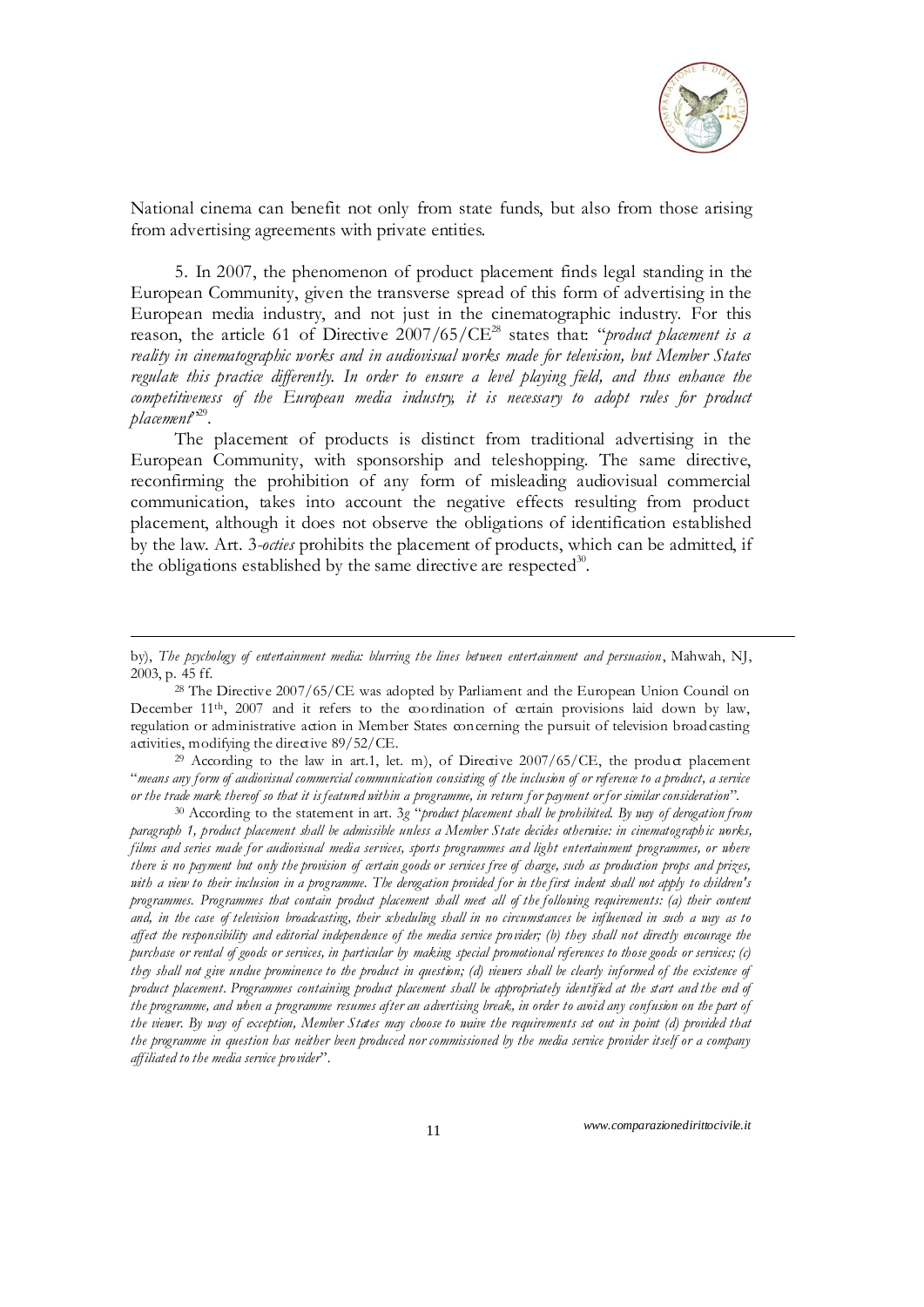

National cinema can benefit not only from state funds, but also from those arising from advertising agreements with private entities.

5. In 2007, the phenomenon of product placement finds legal standing in the European Community, given the transverse spread of this form of advertising in the European media industry, and not just in the cinematographic industry. For this reason, the article 61 of Directive 2007/65/CE<sup>28</sup> states that: "*product placement is a reality in cinematographic works and in audiovisual works made for television, but Member States regulate this practice differently. In order to ensure a level playing field, and thus enhance the*  competitiveness of the European media industry, it is necessary to adopt rules for product placement<sup>, 29</sup>.

The placement of products is distinct from traditional advertising in the European Community, with sponsorship and teleshopping. The same directive, reconfirming the prohibition of any form of misleading audiovisual commercial communication, takes into account the negative effects resulting from product placement, although it does not observe the obligations of identification established by the law. Art. 3-*octies* prohibits the placement of products, which can be admitted, if the obligations established by the same directive are respected<sup>30</sup>.

 $\overline{a}$ 

<sup>29</sup> According to the law in art.1, let. m), of Directive  $2007/65/CE$ , the product placement "*means any form of audiovisual commercial communication consisting of the inclusion of or reference to a product, a service or the trade mark thereof so that it is featured within a programme, in return for payment or for similar consideration*".

by), *The psychology of entertainment media: blurring the lines between entertainment and persuasion* , Mahwah, NJ, 2003, p. 45 ff.

<sup>28</sup> The Directive 2007/65/CE was adopted by Parliament and the European Union Council on December 11th, 2007 and it refers to the coordination of certain provisions laid down by law, regulation or administrative action in Member States concerning the pursuit of television broadcasting activities, modifying the directive 89/52/CE.

<sup>30</sup> According to the statement in art. 3*g* "*product placement shall be prohibited. By way of derogation from paragraph 1, product placement shall be admissible unless a Member State decides otherwise: in cinematograph ic works, films and series made for audiovisual media services, sports programmes and light entertainment programmes, or where there is no payment but only the provision of certain goods or services free of charge, such as production props and prizes, with a view to their inclusion in a programme. The derogation provided for in the first indent shall not apply to children's programmes. Programmes that contain product placement shall meet all of the following requirements: (a) their content and, in the case of television broadcasting, their scheduling shall in no circumstances be influenced in such a way as to affect the responsibility and editorial independence of the media service provider; (b) they shall not directly encourage the purchase or rental of goods or services, in particular by making special promotional references to those goods or services; (c) they shall not give undue prominence to the product in question; (d) viewers shall be clearly informed of the existence of product placement. Programmes containing product placement shall be appropriately identified at the start and the end of the programme, and when a programme resumes after an advertising break, in order to avoid any confusion on the part of the viewer. By way of exception, Member States may choose to waive the requirements set out in point (d) provided that the programme in question has neither been produced nor commissioned by the media service provider itself or a company affiliated to the media service provider*".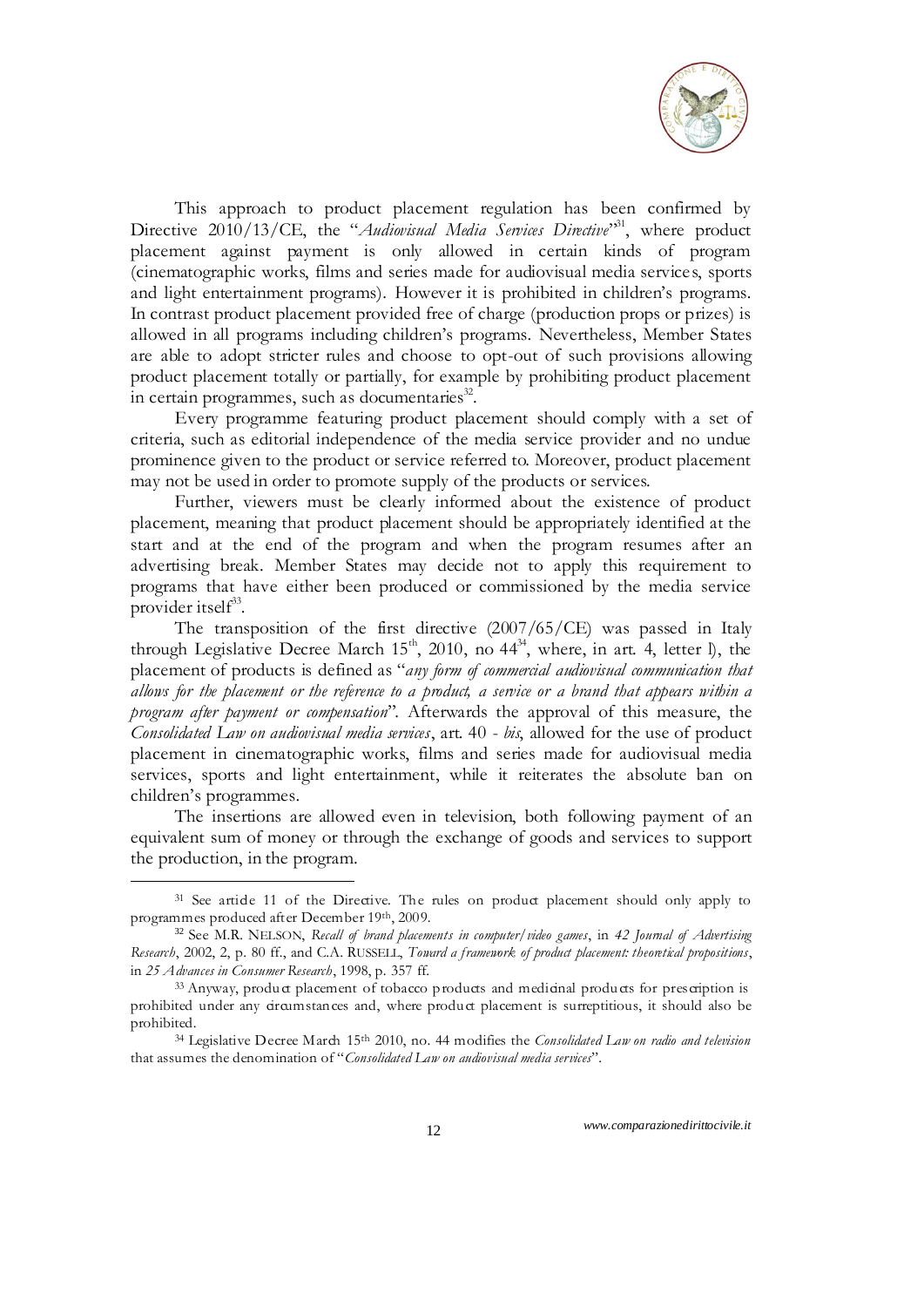

This approach to product placement regulation has been confirmed by Directive 2010/13/CE, the "*Audiovisual Media Services Directive*", where product placement against payment is only allowed in certain kinds of program (cinematographic works, films and series made for audiovisual media services, sports and light entertainment programs). However it is prohibited in children's programs. In contrast product placement provided free of charge (production props or prizes) is allowed in all programs including children's programs. Nevertheless, Member States are able to adopt stricter rules and choose to opt-out of such provisions allowing product placement totally or partially, for example by prohibiting product placement in certain programmes, such as documentaries $^{32}$ .

Every programme featuring product placement should comply with a set of criteria, such as editorial independence of the media service provider and no undue prominence given to the product or service referred to. Moreover, product placement may not be used in order to promote supply of the products or services.

Further, viewers must be clearly informed about the existence of product placement, meaning that product placement should be appropriately identified at the start and at the end of the program and when the program resumes after an advertising break. Member States may decide not to apply this requirement to programs that have either been produced or commissioned by the media service provider itself<sup>33</sup>.

The transposition of the first directive (2007/65/CE) was passed in Italy through Legislative Decree March  $15<sup>th</sup>$ , 2010, no  $44<sup>34</sup>$ , where, in art. 4, letter l), the placement of products is defined as "*any form of commercial audiovisual communication that allows for the placement or the reference to a product, a service or a brand that appears within a program after payment or compensation*". Afterwards the approval of this measure, the *Consolidated Law on audiovisual media services*, art. 40 - *bis*, allowed for the use of product placement in cinematographic works, films and series made for audiovisual media services, sports and light entertainment, while it reiterates the absolute ban on children's programmes.

The insertions are allowed even in television, both following payment of an equivalent sum of money or through the exchange of goods and services to support the production, in the program.

<sup>&</sup>lt;sup>31</sup> See article 11 of the Directive. The rules on product placement should only apply to programmes produced after December 19th, 2009.

<sup>32</sup> See M.R. NELSON, *Recall of brand placements in computer/video games*, in *42 Journal of Advertising Research*, 2002, 2, p. 80 ff., and C.A. RUSSELL, *Toward a framework of product placement: theoretical propositions*, in *25 Advances in Consumer Research*, 1998, p. 357 ff.

<sup>33</sup> Anyway, product placement of tobacco products and medicinal products for prescription is prohibited under any circumstances and, where product placement is surreptitious, it should also be prohibited.

<sup>34</sup> Legislative Decree March 15th 2010, no. 44 modifies the *Consolidated Law on radio and television* that assumes the denomination of "*Consolidated Law on audiovisual media services*".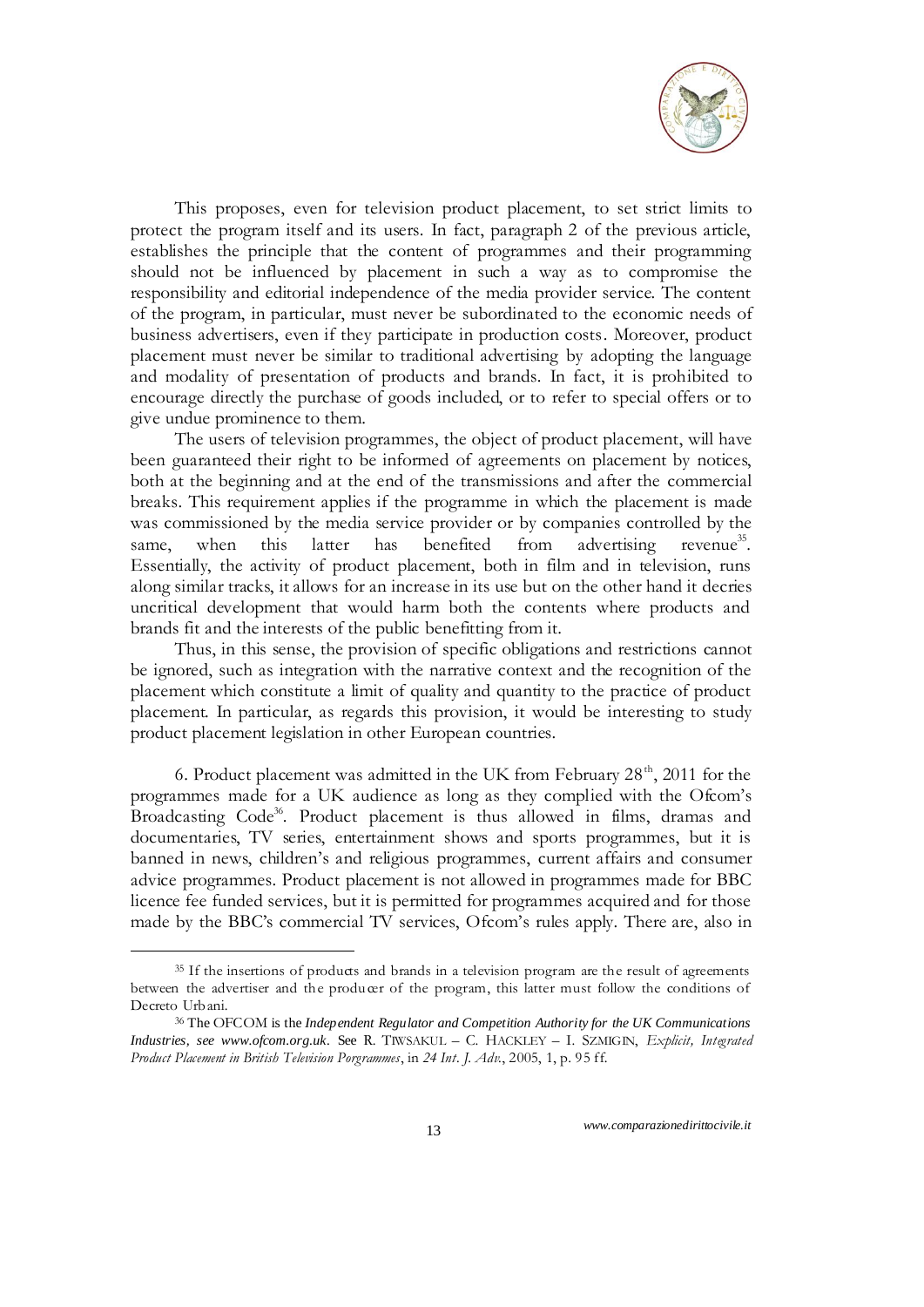

This proposes, even for television product placement, to set strict limits to protect the program itself and its users. In fact, paragraph 2 of the previous article, establishes the principle that the content of programmes and their programming should not be influenced by placement in such a way as to compromise the responsibility and editorial independence of the media provider service. The content of the program, in particular, must never be subordinated to the economic needs of business advertisers, even if they participate in production costs. Moreover, product placement must never be similar to traditional advertising by adopting the language and modality of presentation of products and brands. In fact, it is prohibited to encourage directly the purchase of goods included, or to refer to special offers or to give undue prominence to them.

The users of television programmes, the object of product placement, will have been guaranteed their right to be informed of agreements on placement by notices, both at the beginning and at the end of the transmissions and after the commercial breaks. This requirement applies if the programme in which the placement is made was commissioned by the media service provider or by companies controlled by the same, when this latter has benefited from advertising revenue<sup>35</sup>. Essentially, the activity of product placement, both in film and in television, runs along similar tracks, it allows for an increase in its use but on the other hand it decries uncritical development that would harm both the contents where products and brands fit and the interests of the public benefitting from it.

Thus, in this sense, the provision of specific obligations and restrictions cannot be ignored, such as integration with the narrative context and the recognition of the placement which constitute a limit of quality and quantity to the practice of product placement. In particular, as regards this provision, it would be interesting to study product placement legislation in other European countries.

6. Product placement was admitted in the UK from February  $28<sup>th</sup>$ ,  $2011$  for the programmes made for a UK audience as long as they complied with the Ofcom's Broadcasting Code<sup>36</sup>. Product placement is thus allowed in films, dramas and documentaries, TV series, entertainment shows and sports programmes, but it is banned in news, children's and religious programmes, current affairs and consumer advice programmes. Product placement is not allowed in programmes made for BBC licence fee funded services, but it is permitted for programmes acquired and for those made by the BBC's commercial TV services, Ofcom's rules apply. There are, also in

<sup>&</sup>lt;sup>35</sup> If the insertions of products and brands in a television program are the result of agreements between the advertiser and the producer of the program, this latter must follow the conditions of Decreto Urbani.

<sup>36</sup> The OFCOM is the *Independent Regulator and Competition Authority for the UK Communications Industries, see www.ofcom.org.uk.* See R. TIWSAKUL – C. HACKLEY – I. SZMIGIN, *Explicit, Integrated Product Placement in British Television Porgrammes*, in *24 Int. J. Adv.*, 2005, 1, p. 95 ff.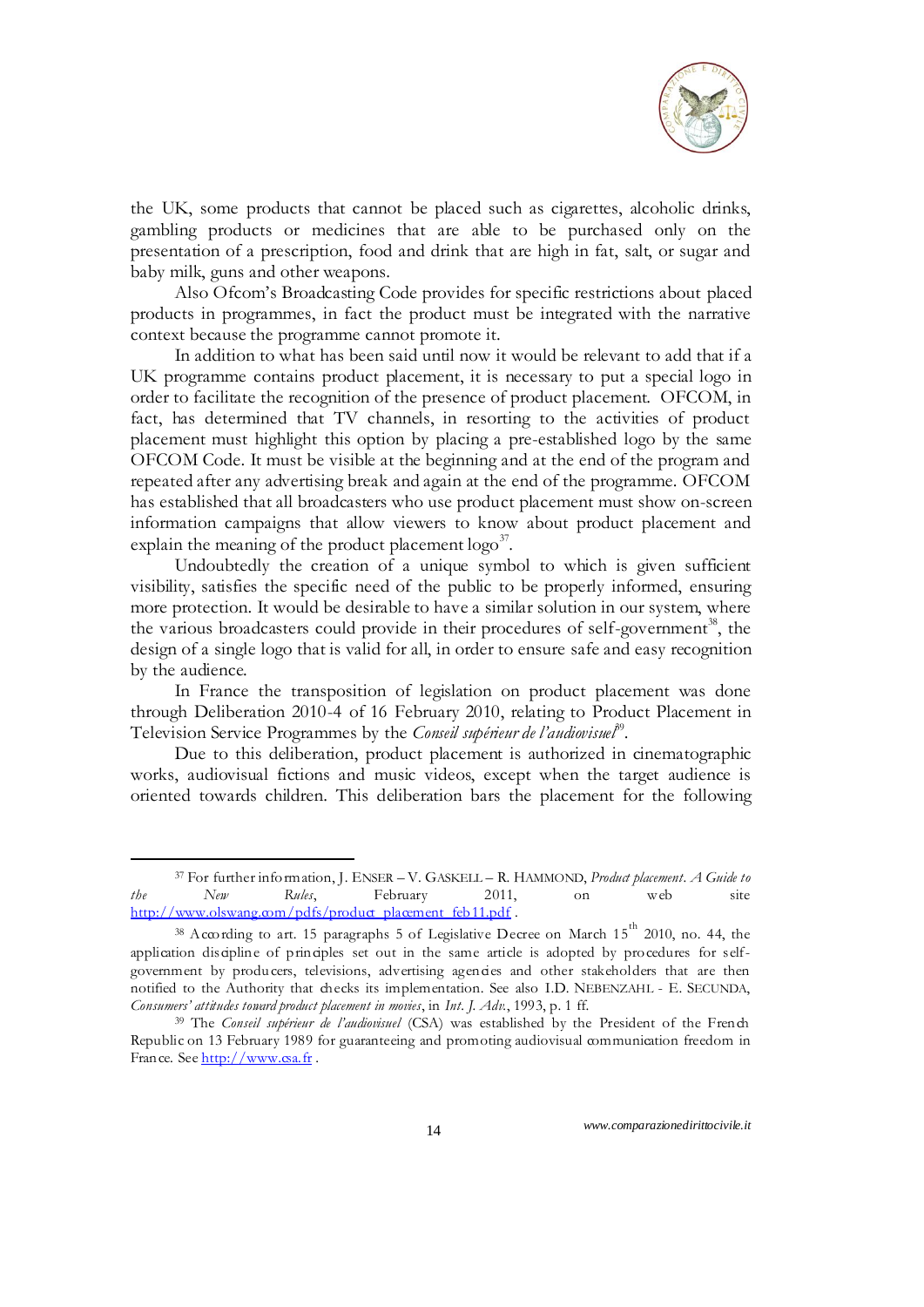

the UK, some products that cannot be placed such as cigarettes, alcoholic drinks, gambling products or medicines that are able to be purchased only on the presentation of a prescription, food and drink that are high in fat, salt, or sugar and baby milk, guns and other weapons.

Also Ofcom's Broadcasting Code provides for specific restrictions about placed products in programmes, in fact the product must be integrated with the narrative context because the programme cannot promote it.

In addition to what has been said until now it would be relevant to add that if a UK programme contains product placement, it is necessary to put a special logo in order to facilitate the recognition of the presence of product placement. OFCOM, in fact, has determined that TV channels, in resorting to the activities of product placement must highlight this option by placing a pre-established logo by the same OFCOM Code. It must be visible at the beginning and at the end of the program and repeated after any advertising break and again at the end of the programme. OFCOM has established that all broadcasters who use product placement must show on-screen information campaigns that allow viewers to know about product placement and explain the meaning of the product placement  $\log$ <sup>37</sup>.

Undoubtedly the creation of a unique symbol to which is given sufficient visibility, satisfies the specific need of the public to be properly informed, ensuring more protection. It would be desirable to have a similar solution in our system, where the various broadcasters could provide in their procedures of self-government $^{38}$ , the design of a single logo that is valid for all, in order to ensure safe and easy recognition by the audience.

In France the transposition of legislation on product placement was done through Deliberation 2010-4 of 16 February 2010, relating to Product Placement in Television Service Programmes by the *Conseil supérieur de l'audiovisuel*<sup>39</sup>.

Due to this deliberation, product placement is authorized in cinematographic works, audiovisual fictions and music videos, except when the target audience is oriented towards children. This deliberation bars the placement for the following

<sup>37</sup> For further information, J. ENSER – V. GASKELL – R. HAMMOND, *Product placement. A Guide to the New Rules*, February 2011, on web site [http://www.olswang.com/pdfs/product\\_placement\\_feb11.pdf](http://www.olswang.com/pdfs/product_placement_feb11.pdf).

<sup>&</sup>lt;sup>38</sup> According to art. 15 paragraphs 5 of Legislative Decree on March  $15<sup>th</sup>$  2010, no. 44, the application discipline of principles set out in the same article is adopted by procedures for selfgovernment by producers, televisions, advertising agencies and other stakeholders that are then notified to the Authority that checks its implementation. See also I.D. NEBENZAHL - E. SECUNDA, *Consumers' attitudes toward product placement in movies*, in *Int. J. Adv.*, 1993, p. 1 ff.

<sup>39</sup> The *Conseil supérieur de l'audiovisuel* (CSA) was established by the President of the French Republic on 13 February 1989 for guaranteeing and promoting audiovisual communication freedom in France. See [http://www.csa.fr](http://www.csa.fr/).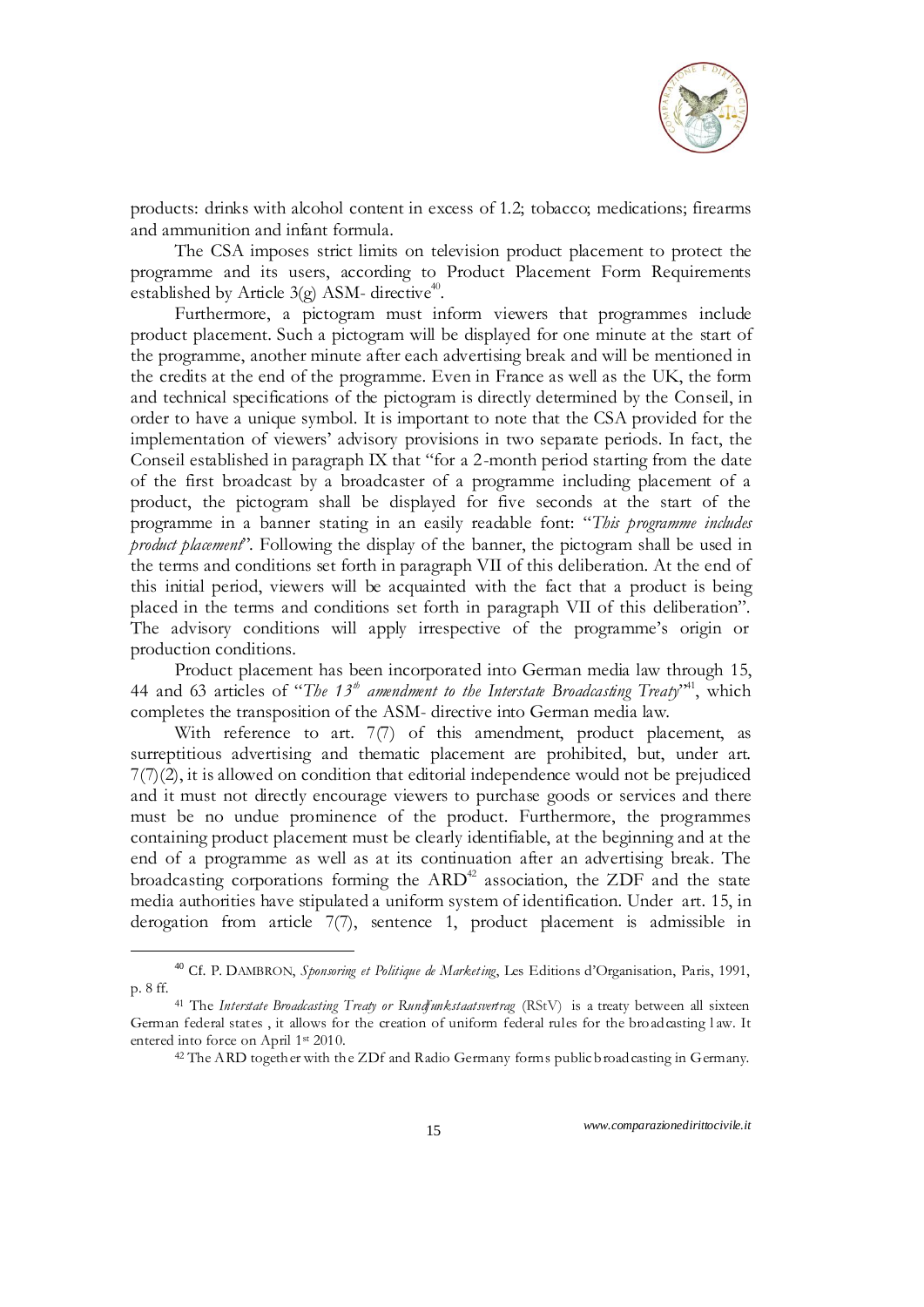

products: drinks with alcohol content in excess of 1.2; tobacco; medications; firearms and ammunition and infant formula.

The CSA imposes strict limits on television product placement to protect the programme and its users, according to Product Placement Form Requirements established by Article 3(g) ASM- directive<sup>40</sup>.

Furthermore, a pictogram must inform viewers that programmes include product placement. Such a pictogram will be displayed for one minute at the start of the programme, another minute after each advertising break and will be mentioned in the credits at the end of the programme. Even in France as well as the UK, the form and technical specifications of the pictogram is directly determined by the Conseil, in order to have a unique symbol. It is important to note that the CSA provided for the implementation of viewers' advisory provisions in two separate periods. In fact, the Conseil established in paragraph IX that "for a 2-month period starting from the date of the first broadcast by a broadcaster of a programme including placement of a product, the pictogram shall be displayed for five seconds at the start of the programme in a banner stating in an easily readable font: "*This programme includes product placement*". Following the display of the banner, the pictogram shall be used in the terms and conditions set forth in paragraph VII of this deliberation. At the end of this initial period, viewers will be acquainted with the fact that a product is being placed in the terms and conditions set forth in paragraph VII of this deliberation". The advisory conditions will apply irrespective of the programme's origin or production conditions.

Product placement has been incorporated into German media law through 15, 44 and 63 articles of "The 13<sup>th</sup> amendment to the Interstate Broadcasting Treaty"<sup>41</sup>, which completes the transposition of the ASM- directive into German media law.

With reference to art. 7(7) of this amendment, product placement, as surreptitious advertising and thematic placement are prohibited, but, under art. 7(7)(2), it is allowed on condition that editorial independence would not be prejudiced and it must not directly encourage viewers to purchase goods or services and there must be no undue prominence of the product. Furthermore, the programmes containing product placement must be clearly identifiable, at the beginning and at the end of a programme as well as at its continuation after an advertising break. The broadcasting corporations forming the  $ARD^{42}$  association, the ZDF and the state media authorities have stipulated a uniform system of identification. Under art. 15, in derogation from article 7(7), sentence 1, product placement is admissible in

 $\overline{a}$ 

<sup>40</sup> Cf. P. DAMBRON, *Sponsoring et Politique de Marketing*, Les Editions d'Organisation, Paris, 1991, p. 8 ff.

<sup>41</sup> The *Interstate Broadcasting Treaty or Rundfunkstaatsvertrag* (RStV) is a treaty between all sixteen German federal states , it allows for the creation of uniform federal rules for the broadcasting l aw. It entered into force on April 1st 2010.

<sup>42</sup> The ARD together with the ZDf and Radio Germany forms public broadcasting in Germany.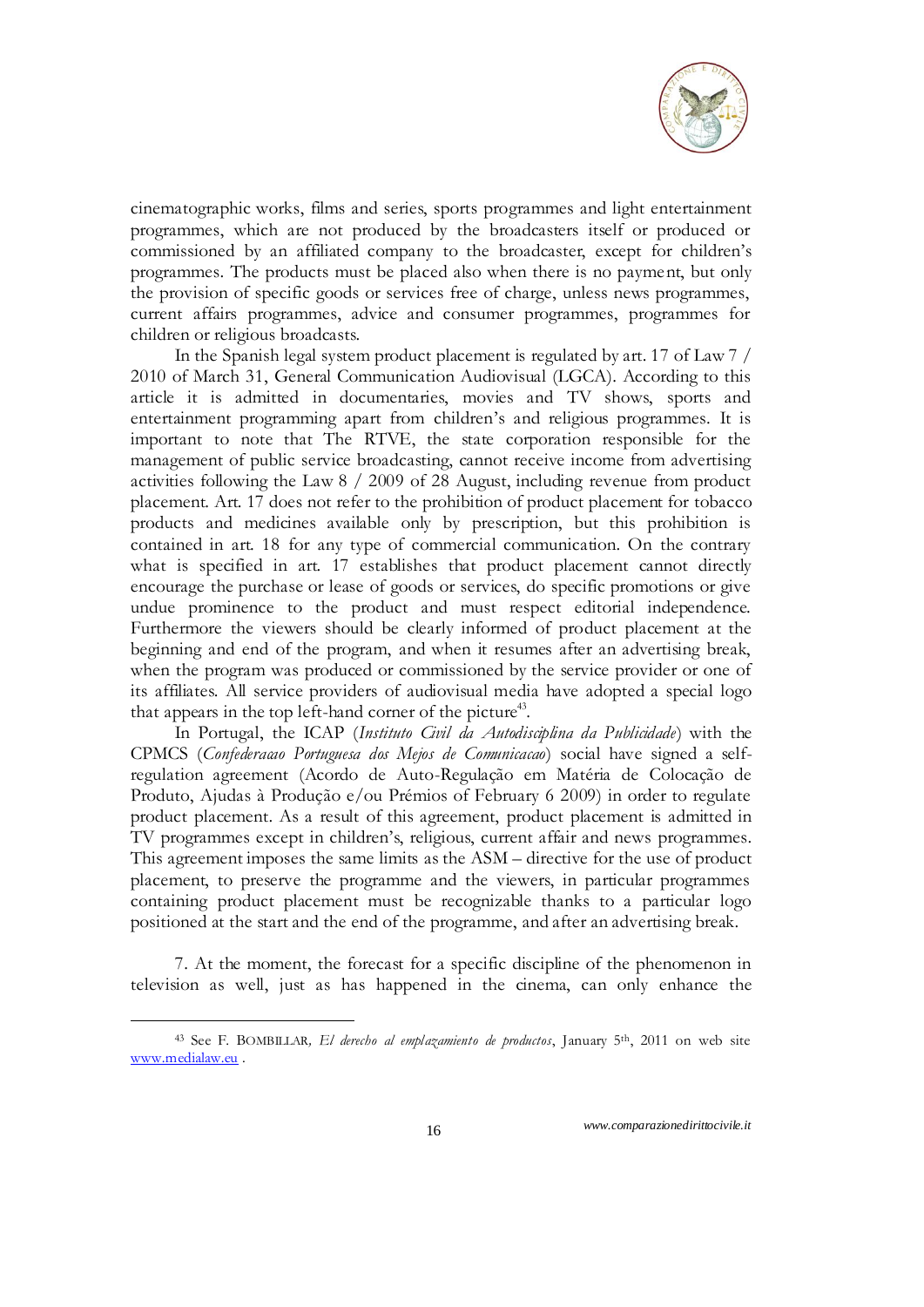

cinematographic works, films and series, sports programmes and light entertainment programmes, which are not produced by the broadcasters itself or produced or commissioned by an affiliated company to the broadcaster, except for children's programmes. The products must be placed also when there is no payment, but only the provision of specific goods or services free of charge, unless news programmes, current affairs programmes, advice and consumer programmes, programmes for children or religious broadcasts.

In the Spanish legal system product placement is regulated by art. 17 of Law 7 / 2010 of March 31, General Communication Audiovisual (LGCA). According to this article it is admitted in documentaries, movies and TV shows, sports and entertainment programming apart from children's and religious programmes. It is important to note that The RTVE, the state corporation responsible for the management of public service broadcasting, cannot receive income from advertising activities following the Law 8 / 2009 of 28 August, including revenue from product placement. Art. 17 does not refer to the prohibition of product placement for tobacco products and medicines available only by prescription, but this prohibition is contained in art. 18 for any type of commercial communication. On the contrary what is specified in art. 17 establishes that product placement cannot directly encourage the purchase or lease of goods or services, do specific promotions or give undue prominence to the product and must respect editorial independence. Furthermore the viewers should be clearly informed of product placement at the beginning and end of the program, and when it resumes after an advertising break, when the program was produced or commissioned by the service provider or one of its affiliates. All service providers of audiovisual media have adopted a special logo that appears in the top left-hand corner of the picture<sup>43</sup>.

In Portugal, the ICAP (*Instituto Civil da Autodisciplina da Publicidade*) with the CPMCS (*Confederacao Portuguesa dos Mejos de Comunicacao*) social have signed a selfregulation agreement (Acordo de Auto-Regulação em Matéria de Colocação de Produto, Ajudas à Produção e/ou Prémios of February 6 2009) in order to regulate product placement. As a result of this agreement, product placement is admitted in TV programmes except in children's, religious, current affair and news programmes. This agreement imposes the same limits as the ASM – directive for the use of product placement, to preserve the programme and the viewers, in particular programmes containing product placement must be recognizable thanks to a particular logo positioned at the start and the end of the programme, and after an advertising break.

7. At the moment, the forecast for a specific discipline of the phenomenon in television as well, just as has happened in the cinema, can only enhance the

 $\overline{\phantom{a}}$ 

<sup>43</sup> See F. BOMBILLAR*, El derecho al emplazamiento de productos*, January 5th, 2011 on web site [www.medialaw.eu](http://www.medialaw.eu/) .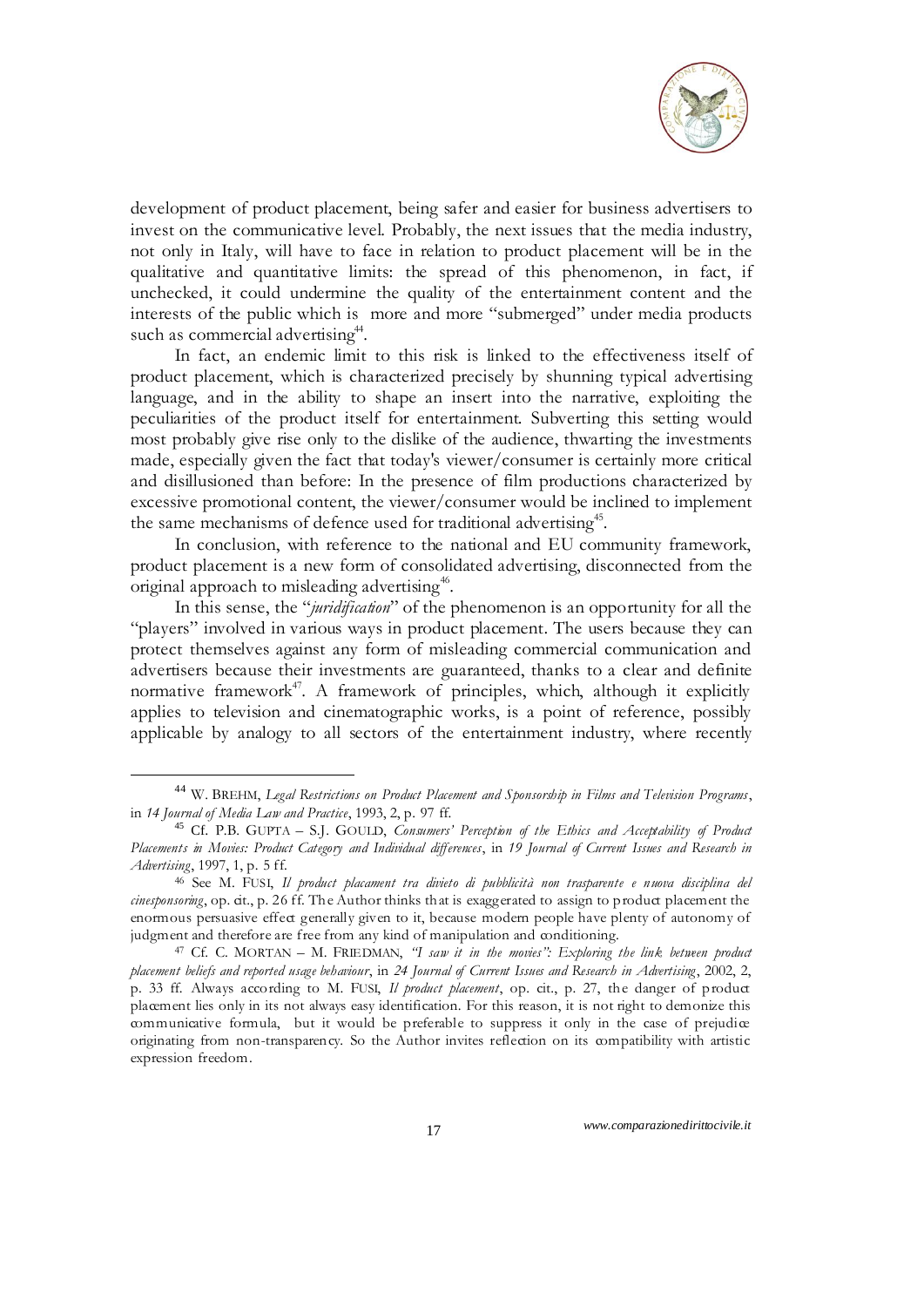

development of product placement, being safer and easier for business advertisers to invest on the communicative level. Probably, the next issues that the media industry, not only in Italy, will have to face in relation to product placement will be in the qualitative and quantitative limits: the spread of this phenomenon, in fact, if unchecked, it could undermine the quality of the entertainment content and the interests of the public which is more and more "submerged" under media products such as commercial advertising<sup>44</sup>.

In fact, an endemic limit to this risk is linked to the effectiveness itself of product placement, which is characterized precisely by shunning typical advertising language, and in the ability to shape an insert into the narrative, exploiting the peculiarities of the product itself for entertainment. Subverting this setting would most probably give rise only to the dislike of the audience, thwarting the investments made, especially given the fact that today's viewer/consumer is certainly more critical and disillusioned than before: In the presence of film productions characterized by excessive promotional content, the viewer/consumer would be inclined to implement the same mechanisms of defence used for traditional advertising<sup>45</sup>.

In conclusion, with reference to the national and EU community framework, product placement is a new form of consolidated advertising, disconnected from the original approach to misleading advertising<sup>46</sup>.

In this sense, the "*juridification*" of the phenomenon is an opportunity for all the "players" involved in various ways in product placement. The users because they can protect themselves against any form of misleading commercial communication and advertisers because their investments are guaranteed, thanks to a clear and definite normative framework $4^7$ . A framework of principles, which, although it explicitly applies to television and cinematographic works, is a point of reference, possibly applicable by analogy to all sectors of the entertainment industry, where recently

<sup>44</sup> W. BREHM, *Legal Restrictions on Product Placement and Sponsorship in Films and Television Programs*, in *14 Journal of Media Law and Practice*, 1993, 2, p. 97 ff.

<sup>45</sup> Cf. P.B. GUPTA – S.J. GOULD, *Consumers' Perception of the Ethics and Acceptability of Product Placements in Movies: Product Category and Individual differences*, in *19 Journal of Current Issues and Research in Advertising*, 1997, 1, p. 5 ff.

<sup>46</sup> See M. FUSI, *Il product placament tra divieto di pubblicità non trasparente e nuova disciplina del cinesponsoring*, op. cit., p. 26 ff. The Author thinks that is exaggerated to assign to product placement the enormous persuasive effect generally given to it, because modern people have plenty of autonomy of judgment and therefore are free from any kind of manipulation and conditioning.

<sup>47</sup> Cf. C. MORTAN – M. FRIEDMAN, *"I saw it in the movies": Exploring the link between product placement beliefs and reported usage behaviour*, in *24 Journal of Current Issues and Research in Advertising*, 2002, 2, p. 33 ff. Always according to M. FUSI, *Il product placement*, op. cit., p. 27, the danger of product placement lies only in its not always easy identification. For this reason, it is not right to demonize this communicative formula, but it would be preferable to suppress it only in the case of prejudice originating from non-transparency. So the Author invites reflection on its compatibility with artistic expression freedom.